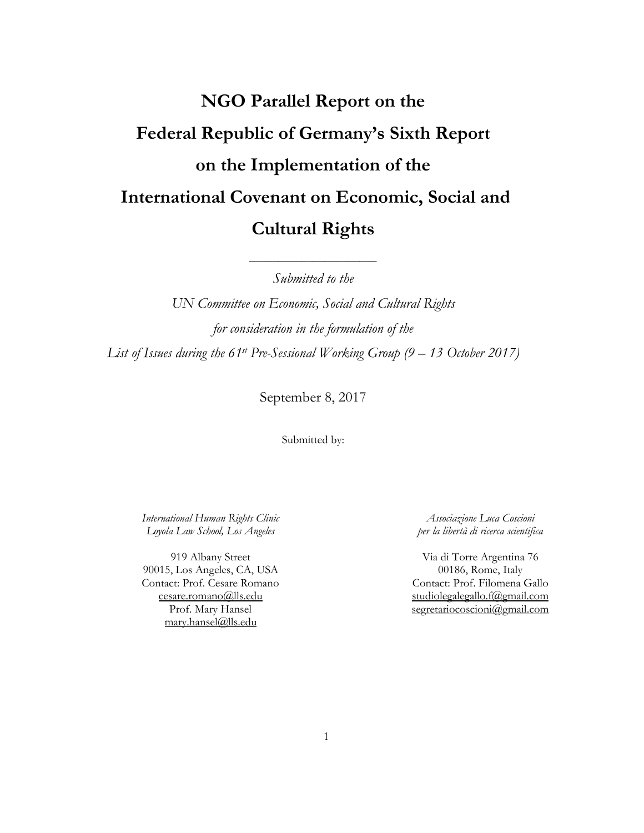# **NGO Parallel Report on the Federal Republic of Germany's Sixth Report on the Implementation of the International Covenant on Economic, Social and Cultural Rights**

*Submitted to the*

\_\_\_\_\_\_\_\_\_\_\_\_\_\_\_\_\_\_\_\_\_\_

*UN Committee on Economic, Social and Cultural Rights for consideration in the formulation of the List of Issues during the 61st Pre-Sessional Working Group (9 – 13 October 2017)*

September 8, 2017

Submitted by:

*International Human Rights Clinic Loyola Law School, Los Angeles*

919 Albany Street 90015, Los Angeles, CA, USA Contact: Prof. Cesare Romano [cesare.romano@lls.edu](mailto:cesare.romano@lls.edu) Prof. Mary Hansel mary.hansel@lls.edu

*Associazione Luca Coscioni per la libertà di ricerca scientifica*

Via di Torre Argentina 76 00186, Rome, Italy Contact: Prof. Filomena Gallo [studiolegalegallo.f@gmail.com](mailto:studiolegalegallo.f@gmail.com) [segretariocoscioni@gmail.com](mailto:segretariocoscioni@gmail.com)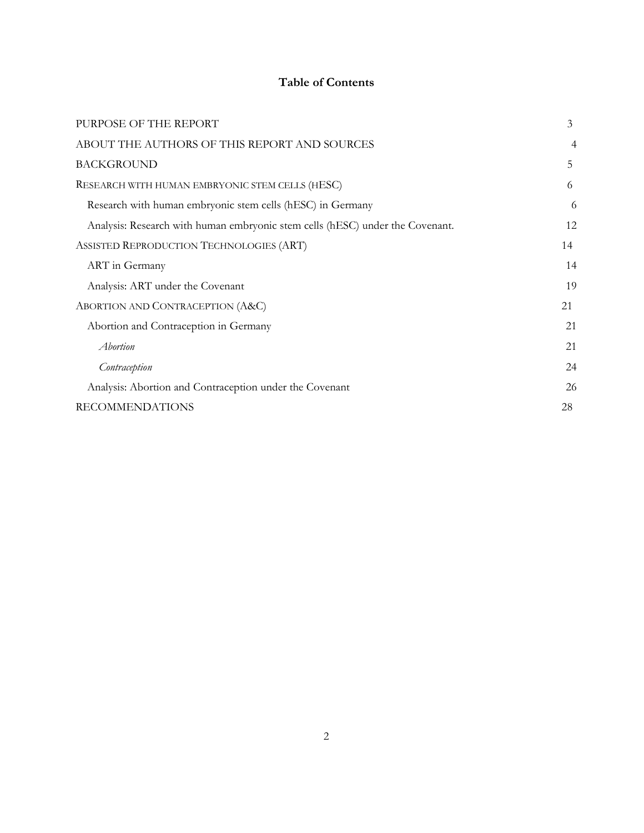## **Table of Contents**

| PURPOSE OF THE REPORT                                                         | 3  |
|-------------------------------------------------------------------------------|----|
| ABOUT THE AUTHORS OF THIS REPORT AND SOURCES                                  | 4  |
| <b>BACKGROUND</b>                                                             | 5  |
| RESEARCH WITH HUMAN EMBRYONIC STEM CELLS (HESC)                               | 6  |
| Research with human embryonic stem cells (hESC) in Germany                    | 6  |
| Analysis: Research with human embryonic stem cells (hESC) under the Covenant. | 12 |
| ASSISTED REPRODUCTION TECHNOLOGIES (ART)                                      | 14 |
| ART in Germany                                                                | 14 |
| Analysis: ART under the Covenant                                              | 19 |
| ABORTION AND CONTRACEPTION (A&C)                                              | 21 |
| Abortion and Contraception in Germany                                         | 21 |
| Abortion                                                                      | 21 |
| Contraception                                                                 | 24 |
| Analysis: Abortion and Contraception under the Covenant                       | 26 |
| <b>RECOMMENDATIONS</b>                                                        | 28 |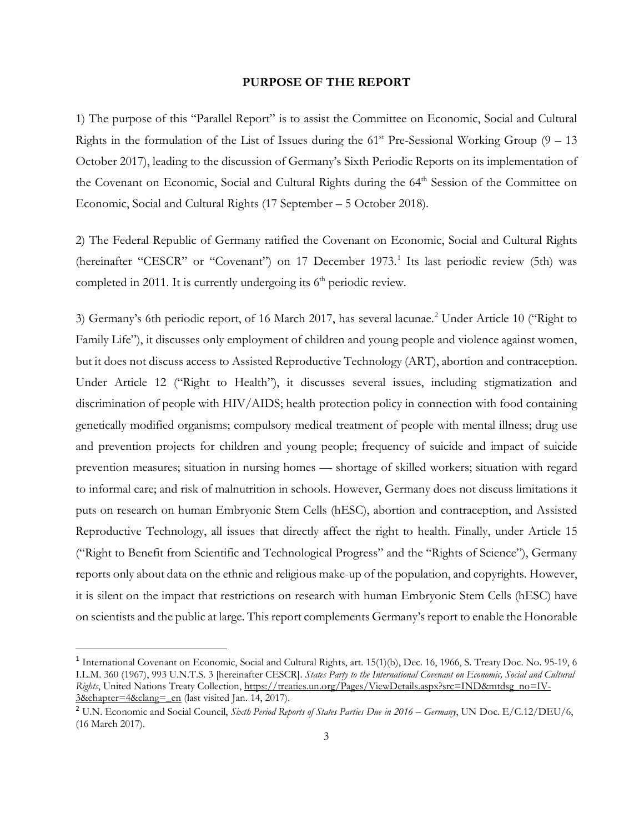#### **PURPOSE OF THE REPORT**

<span id="page-2-0"></span>1) The purpose of this "Parallel Report" is to assist the Committee on Economic, Social and Cultural Rights in the formulation of the List of Issues during the  $61<sup>st</sup>$  Pre-Sessional Working Group (9 – 13) October 2017), leading to the discussion of Germany's Sixth Periodic Reports on its implementation of the Covenant on Economic, Social and Cultural Rights during the 64<sup>th</sup> Session of the Committee on Economic, Social and Cultural Rights (17 September – 5 October 2018).

2) The Federal Republic of Germany ratified the Covenant on Economic, Social and Cultural Rights (hereinafter "CESCR" or "Covenant") on [1](#page-2-1)7 December 1973.<sup>1</sup> Its last periodic review (5th) was completed in 2011. It is currently undergoing its  $6<sup>th</sup>$  periodic review.

3) Germany's 6th periodic report, of 16 March [2](#page-2-2)017, has several lacunae.<sup>2</sup> Under Article 10 ("Right to Family Life"), it discusses only employment of children and young people and violence against women, but it does not discuss access to Assisted Reproductive Technology (ART), abortion and contraception. Under Article 12 ("Right to Health"), it discusses several issues, including stigmatization and discrimination of people with HIV/AIDS; health protection policy in connection with food containing genetically modified organisms; compulsory medical treatment of people with mental illness; drug use and prevention projects for children and young people; frequency of suicide and impact of suicide prevention measures; situation in nursing homes — shortage of skilled workers; situation with regard to informal care; and risk of malnutrition in schools. However, Germany does not discuss limitations it puts on research on human Embryonic Stem Cells (hESC), abortion and contraception, and Assisted Reproductive Technology, all issues that directly affect the right to health. Finally, under Article 15 ("Right to Benefit from Scientific and Technological Progress" and the "Rights of Science"), Germany reports only about data on the ethnic and religious make-up of the population, and copyrights. However, it is silent on the impact that restrictions on research with human Embryonic Stem Cells (hESC) have on scientists and the public at large. This report complements Germany's report to enable the Honorable

<span id="page-2-1"></span><sup>&</sup>lt;sup>1</sup> International Covenant on Economic, Social and Cultural Rights, art. 15(1)(b), Dec. 16, 1966, S. Treaty Doc. No. 95-19, 6 I.L.M. 360 (1967), 993 U.N.T.S. 3 [hereinafter CESCR]. *States Party to the International Covenant on Economic, Social and Cultural Rights*, United Nations Treaty Collection, [https://treaties.un.org/Pages/ViewDetails.aspx?src=IND&mtdsg\\_no=IV-](https://treaties.un.org/Pages/ViewDetails.aspx?src=IND&mtdsg_no=IV-3&chapter=4&clang=_en)[3&chapter=4&clang=\\_en](https://treaties.un.org/Pages/ViewDetails.aspx?src=IND&mtdsg_no=IV-3&chapter=4&clang=_en) (last visited Jan. 14, 2017).

<span id="page-2-2"></span><sup>2</sup> U.N. Economic and Social Council, *Sixth Period Reports of States Parties Due in 2016 – Germany*, UN Doc. E/C.12/DEU/6, (16 March 2017).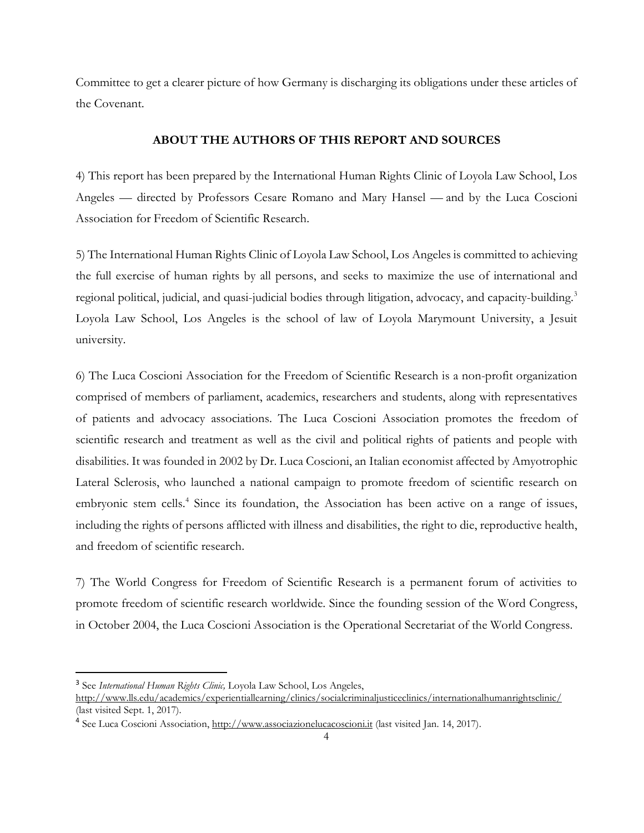Committee to get a clearer picture of how Germany is discharging its obligations under these articles of the Covenant.

## **ABOUT THE AUTHORS OF THIS REPORT AND SOURCES**

<span id="page-3-0"></span>4) This report has been prepared by the International Human Rights Clinic of Loyola Law School, Los Angeles — directed by Professors Cesare Romano and Mary Hansel — and by the Luca Coscioni Association for Freedom of Scientific Research.

5) The International Human Rights Clinic of Loyola Law School, Los Angeles is committed to achieving the full exercise of human rights by all persons, and seeks to maximize the use of international and regional political, judicial, and quasi-judicial bodies through litigation, advocacy, and capacity-building.<sup>[3](#page-3-1)</sup> Loyola Law School, Los Angeles is the school of law of Loyola Marymount University, a Jesuit university.

6) The Luca Coscioni Association for the Freedom of Scientific Research is a non-profit organization comprised of members of parliament, academics, researchers and students, along with representatives of patients and advocacy associations. The Luca Coscioni Association promotes the freedom of scientific research and treatment as well as the civil and political rights of patients and people with disabilities. It was founded in 2002 by Dr. Luca Coscioni, an Italian economist affected by Amyotrophic Lateral Sclerosis, who launched a national campaign to promote freedom of scientific research on embryonic stem cells.<sup>4</sup> Since its foundation, the Association has been active on a range of issues, including the rights of persons afflicted with illness and disabilities, the right to die, reproductive health, and freedom of scientific research.

7) The World Congress for Freedom of Scientific Research is a permanent forum of activities to promote freedom of scientific research worldwide. Since the founding session of the Word Congress, in October 2004, the Luca Coscioni Association is the Operational Secretariat of the World Congress.

<span id="page-3-1"></span> <sup>3</sup> See *International Human Rights Clinic,* Loyola Law School, Los Angeles,

<http://www.lls.edu/academics/experientiallearning/clinics/socialcriminaljusticeclinics/internationalhumanrightsclinic/> (last visited Sept. 1, 2017).

<span id="page-3-2"></span><sup>&</sup>lt;sup>4</sup> See Luca Coscioni Association[, http://www.associazionelucacoscioni.it](http://www.associazionelucacoscioni.it/) (last visited Jan. 14, 2017).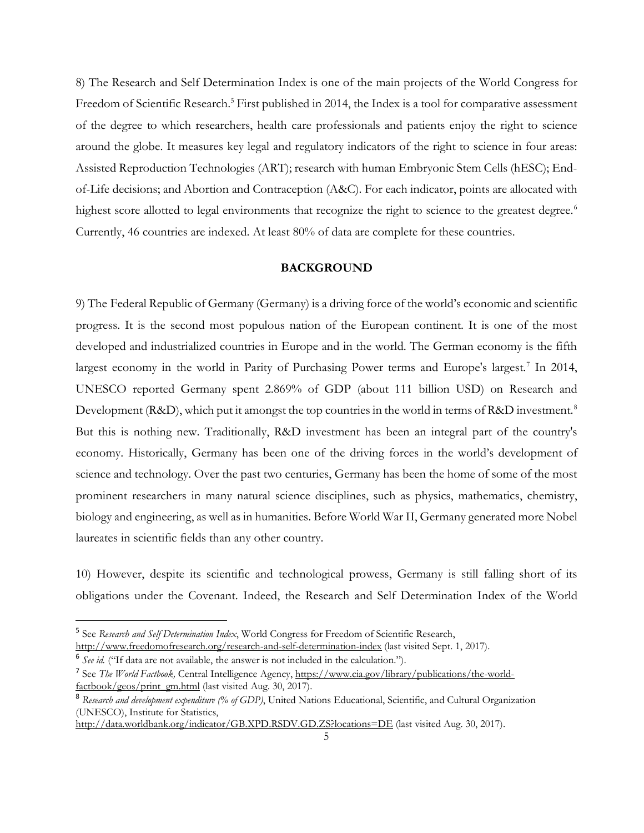8) The Research and Self Determination Index is one of the main projects of the World Congress for Freedom of Scientific Research.<sup>5</sup> First published in 2014, the Index is a tool for comparative assessment of the degree to which researchers, health care professionals and patients enjoy the right to science around the globe. It measures key legal and regulatory indicators of the right to science in four areas: Assisted Reproduction Technologies (ART); research with human Embryonic Stem Cells (hESC); Endof-Life decisions; and Abortion and Contraception (A&C). For each indicator, points are allocated with highest score allotted to legal environments that recognize the right to science to the greatest degree.<sup>[6](#page-4-2)</sup> Currently, 46 countries are indexed. At least 80% of data are complete for these countries.

## **BACKGROUND**

<span id="page-4-0"></span>9) The Federal Republic of Germany (Germany) is a driving force of the world's economic and scientific progress. It is the second most populous nation of the European continent. It is one of the most developed and industrialized countries in Europe and in the world. The German economy is the fifth largest economy in the world in Parity of Purchasing Power terms and Europe's largest.<sup>[7](#page-4-3)</sup> In 2014, UNESCO reported Germany spent 2.869% of GDP (about 111 billion USD) on Research and Development (R&D), which put it amongst the top countries in the world in terms of R&D investment.<sup>[8](#page-4-4)</sup> But this is nothing new. Traditionally, R&D investment has been an integral part of the country's economy. Historically, Germany has been one of the driving forces in the world's development of science and technology. Over the past two centuries, Germany has been the home of some of the most prominent researchers in many natural science disciplines, such as physics, mathematics, chemistry, biology and engineering, as well as in humanities. Before World War II, Germany generated more Nobel laureates in scientific fields than any other country.

10) However, despite its scientific and technological prowess, Germany is still falling short of its obligations under the Covenant. Indeed, the Research and Self Determination Index of the World

<span id="page-4-1"></span> <sup>5</sup> See *Research and Self Determination Index*, World Congress for Freedom of Scientific Research, <http://www.freedomofresearch.org/research-and-self-determination-index> (last visited Sept. 1, 2017).

<span id="page-4-2"></span><sup>6</sup> *See id.* ("If data are not available, the answer is not included in the calculation.").

<span id="page-4-3"></span><sup>7</sup> See *The World Factbook,* Central Intelligence Agency[, https://www.cia.gov/library/publications/the-world](https://www.cia.gov/library/publications/the-world-factbook/geos/print_gm.html)[factbook/geos/print\\_gm.html](https://www.cia.gov/library/publications/the-world-factbook/geos/print_gm.html) (last visited Aug. 30, 2017).

<span id="page-4-4"></span><sup>8</sup> *Research and development expenditure (% of GDP)*, United Nations Educational, Scientific, and Cultural Organization (UNESCO), Institute for Statistics,

<http://data.worldbank.org/indicator/GB.XPD.RSDV.GD.ZS?locations=DE> (last visited Aug. 30, 2017).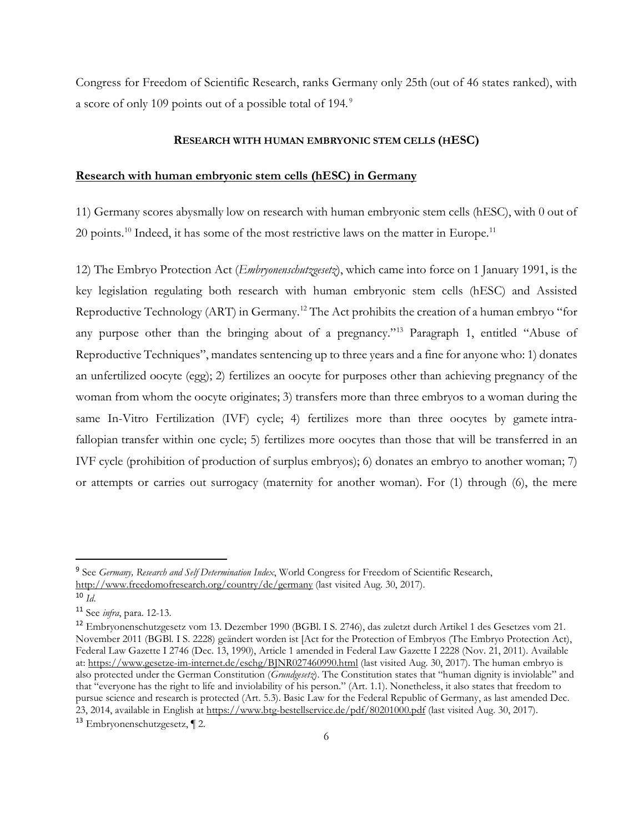Congress for Freedom of Scientific Research, ranks Germany only 25th (out of 46 states ranked), with a score of only 109 points out of a possible total of 194*.* [9](#page-5-2)

## **RESEARCH WITH HUMAN EMBRYONIC STEM CELLS (HESC)**

## <span id="page-5-1"></span><span id="page-5-0"></span>**Research with human embryonic stem cells (hESC) in Germany**

11) Germany scores abysmally low on research with human embryonic stem cells (hESC), with 0 out of  $20$  points.<sup>10</sup> Indeed, it has some of the most restrictive laws on the matter in Europe.<sup>11</sup>

12) The Embryo Protection Act (*Embryonenschutzgesetz*), which came into force on 1 January 1991, is the key legislation regulating both research with human embryonic stem cells (hESC) and Assisted Reproductive Technology (ART) in Germany[.12](#page-5-5) The Act prohibits the creation of a human embryo "for any purpose other than the bringing about of a pregnancy."[13](#page-5-6) Paragraph 1, entitled "Abuse of Reproductive Techniques", mandates sentencing up to three years and a fine for anyone who: 1) donates an unfertilized oocyte (egg); 2) fertilizes an oocyte for purposes other than achieving pregnancy of the woman from whom the oocyte originates; 3) transfers more than three embryos to a woman during the same In-Vitro Fertilization (IVF) cycle; 4) fertilizes more than three oocytes by gamete intrafallopian transfer within one cycle; 5) fertilizes more oocytes than those that will be transferred in an IVF cycle (prohibition of production of surplus embryos); 6) donates an embryo to another woman; 7) or attempts or carries out surrogacy (maternity for another woman). For (1) through (6), the mere

<span id="page-5-2"></span> <sup>9</sup> See *Germany, Research and Self Determination Index*, World Congress for Freedom of Scientific Research, <http://www.freedomofresearch.org/country/de/germany> (last visited Aug. 30, 2017).

<span id="page-5-3"></span> $10 \, \text{Id}$ 

<span id="page-5-4"></span><sup>11</sup> See *infra*, para. 12-13.

<span id="page-5-5"></span><sup>12</sup> Embryonenschutzgesetz vom 13. Dezember 1990 (BGBl. I S. 2746), das zuletzt durch Artikel 1 des Gesetzes vom 21. November 2011 (BGBl. I S. 2228) geändert worden ist [Act for the Protection of Embryos (The Embryo Protection Act), Federal Law Gazette I 2746 (Dec. 13, 1990), Article 1 amended in Federal Law Gazette I 2228 (Nov. 21, 2011). Available at[: https://www.gesetze-im-internet.de/eschg/BJNR027460990.html](https://www.gesetze-im-internet.de/eschg/BJNR027460990.html) (last visited Aug. 30, 2017). The human embryo is also protected under the German Constitution (*Grundgesetz*). The Constitution states that "human dignity is inviolable" and that "everyone has the right to life and inviolability of his person." (Art. 1.1). Nonetheless, it also states that freedom to pursue science and research is protected (Art. 5.3). Basic Law for the Federal Republic of Germany, as last amended Dec. 23, 2014, available in English at<https://www.btg-bestellservice.de/pdf/80201000.pdf> (last visited Aug. 30, 2017).

<span id="page-5-6"></span><sup>13</sup> Embryonenschutzgesetz, ¶ 2.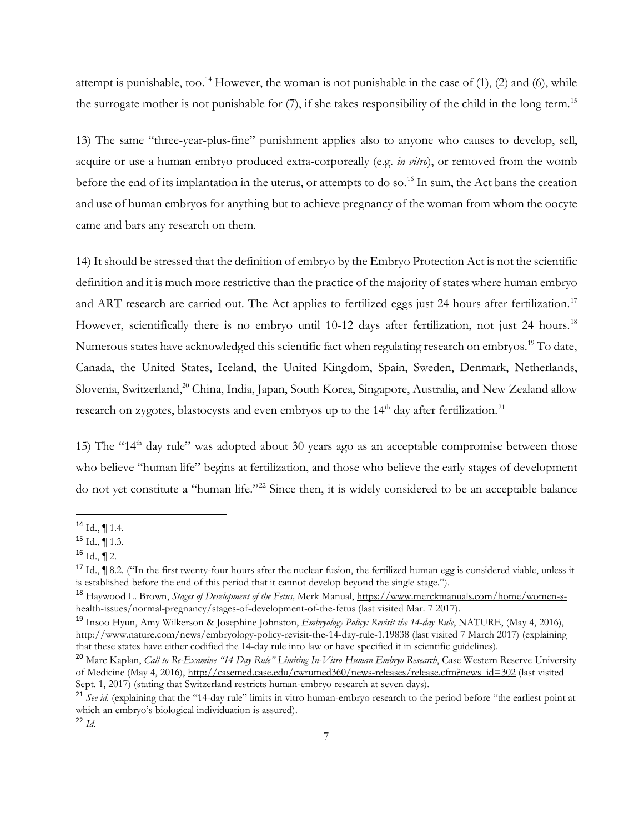attempt is punishable, too.<sup>[14](#page-6-0)</sup> However, the woman is not punishable in the case of  $(1)$ ,  $(2)$  and  $(6)$ , while the surrogate mother is not punishable for (7), if she takes responsibility of the child in the long term.<sup>[15](#page-6-1)</sup>

13) The same "three-year-plus-fine" punishment applies also to anyone who causes to develop, sell, acquire or use a human embryo produced extra-corporeally (e.g. *in vitro*), or removed from the womb before the end of its implantation in the uterus, or attempts to do so.<sup>[16](#page-6-2)</sup> In sum, the Act bans the creation and use of human embryos for anything but to achieve pregnancy of the woman from whom the oocyte came and bars any research on them.

14) It should be stressed that the definition of embryo by the Embryo Protection Act is not the scientific definition and it is much more restrictive than the practice of the majority of states where human embryo and ART research are carried out. The Act applies to fertilized eggs just 24 hours after fertilization.<sup>[17](#page-6-3)</sup> However, scientifically there is no embryo until 10-12 days after fertilization, not just 24 hours.<sup>[18](#page-6-4)</sup> Numerous states have acknowledged this scientific fact when regulating research on embryos.<sup>[19](#page-6-5)</sup> To date, Canada, the United States, Iceland, the United Kingdom, Spain, Sweden, Denmark, Netherlands, Slovenia, Switzerland,<sup>20</sup> China, India, Japan, South Korea, Singapore, Australia, and New Zealand allow research on zygotes, blastocysts and even embryos up to the  $14<sup>th</sup>$  day after fertilization.<sup>[21](#page-6-7)</sup>

15) The "14<sup>th</sup> day rule" was adopted about 30 years ago as an acceptable compromise between those who believe "human life" begins at fertilization, and those who believe the early stages of development do not yet constitute a "human life."<sup>[22](#page-6-8)</sup> Since then, it is widely considered to be an acceptable balance

<span id="page-6-0"></span> $14$  Id., ¶ 1.4.

<span id="page-6-1"></span> $15$  Id.,  $\P$  1.3.

<span id="page-6-2"></span> $16$  Id.,  $\P$  2.

<span id="page-6-3"></span><sup>&</sup>lt;sup>17</sup> Id.,  $\parallel$  8.2. ("In the first twenty-four hours after the nuclear fusion, the fertilized human egg is considered viable, unless it is established before the end of this period that it cannot develop beyond the single stage.").

<span id="page-6-4"></span><sup>18</sup> Haywood L. Brown, *Stages of Development of the Fetus,* Merk Manual, [https://www.merckmanuals.com/home/women-s](https://www.merckmanuals.com/home/women-s-health-issues/normal-pregnancy/stages-of-development-of-the-fetus)[health-issues/normal-pregnancy/stages-of-development-of-the-fetus](https://www.merckmanuals.com/home/women-s-health-issues/normal-pregnancy/stages-of-development-of-the-fetus) (last visited Mar. 7 2017).

<span id="page-6-5"></span><sup>19</sup> Insoo Hyun, Amy Wilkerson & Josephine Johnston, *Embryology Policy: Revisit the 14-day Rule*, NATURE, (May 4, 2016), <http://www.nature.com/news/embryology-policy-revisit-the-14-day-rule-1.19838> (last visited 7 March 2017) (explaining that these states have either codified the 14-day rule into law or have specified it in scientific guidelines).

<span id="page-6-6"></span><sup>20</sup> Marc Kaplan, *Call to Re-Examine "14 Day Rule" Limiting In-Vitro Human Embryo Research*, Case Western Reserve University of Medicine (May 4, 2016), [http://casemed.case.edu/cwrumed360/news-releases/release.cfm?news\\_id=302](http://casemed.case.edu/cwrumed360/news-releases/release.cfm?news_id=302) (last visited Sept. 1, 2017) (stating that Switzerland restricts human-embryo research at seven days).

<span id="page-6-7"></span><sup>&</sup>lt;sup>21</sup> See id. (explaining that the "14-day rule" limits in vitro human-embryo research to the period before "the earliest point at which an embryo's biological individuation is assured).

<span id="page-6-8"></span><sup>22</sup> *Id*.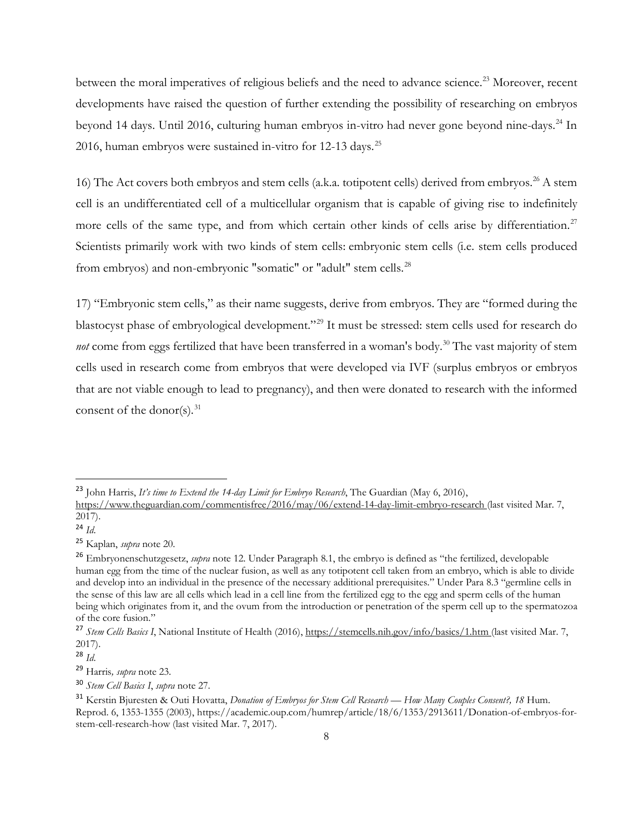between the moral imperatives of religious beliefs and the need to advance science.<sup>[23](#page-7-0)</sup> Moreover, recent developments have raised the question of further extending the possibility of researching on embryos beyond 14 days. Until 2016, culturing human embryos in-vitro had never gone beyond nine-days.<sup>[24](#page-7-1)</sup> In 2016, human embryos were sustained in-vitro for 12-13 days.<sup>[25](#page-7-2)</sup>

16) The Act covers both embryos and stem cells (a.k.a. totipotent cells) derived from embryos.<sup>[26](#page-7-3)</sup> A stem cell is an undifferentiated cell of a multicellular organism that is capable of giving rise to indefinitely more cells of the same type, and from which certain other kinds of cells arise by differentiation.<sup>[27](#page-7-4)</sup> Scientists primarily work with two kinds of stem cells: embryonic stem cells (i.e. stem cells produced from embryos) and non-embryonic "somatic" or "adult" stem cells.<sup>[28](#page-7-5)</sup>

17) "Embryonic stem cells," as their name suggests, derive from embryos. They are "formed during the blastocyst phase of embryological development."[29](#page-7-6) It must be stressed: stem cells used for research do *not* come from eggs fertilized that have been transferred in a woman's body.<sup>[30](#page-7-7)</sup> The vast majority of stem cells used in research come from embryos that were developed via IVF (surplus embryos or embryos that are not viable enough to lead to pregnancy), and then were donated to research with the informed consent of the donor(s).  $31$ 

<span id="page-7-0"></span> <sup>23</sup> John Harris, *It's time to Extend the 14-day Limit for Embryo Research*, The Guardian (May 6, 2016),

<https://www.theguardian.com/commentisfree/2016/may/06/extend-14-day-limit-embryo-research> (last visited Mar. 7, 2017).

<span id="page-7-1"></span><sup>24</sup> *Id*.

<span id="page-7-2"></span><sup>25</sup> Kaplan, *supra* note 20.

<span id="page-7-3"></span><sup>26</sup> Embryonenschutzgesetz, *supra* note 12. Under Paragraph 8.1, the embryo is defined as "the fertilized, developable human egg from the time of the nuclear fusion, as well as any totipotent cell taken from an embryo, which is able to divide and develop into an individual in the presence of the necessary additional prerequisites." Under Para 8.3 "germline cells in the sense of this law are all cells which lead in a cell line from the fertilized egg to the egg and sperm cells of the human being which originates from it, and the ovum from the introduction or penetration of the sperm cell up to the spermatozoa of the core fusion."

<span id="page-7-4"></span><sup>27</sup> *Stem Cells Basics I*, National Institute of Health (2016),<https://stemcells.nih.gov/info/basics/1.htm> (last visited Mar. 7, 2017).

<span id="page-7-5"></span><sup>28</sup> *Id*.

<span id="page-7-6"></span><sup>29</sup> Harris*, supra* note 23.

<span id="page-7-7"></span><sup>30</sup> *Stem Cell Basics I*, *supra* note 27.

<span id="page-7-8"></span><sup>31</sup> Kerstin Bjuresten & Outi Hovatta, *Donation of Embryos for Stem Cell Research — How Many Couples Consent?, 18* Hum. Reprod. 6, 1353-1355 (2003), https://academic.oup.com/humrep/article/18/6/1353/2913611/Donation-of-embryos-forstem-cell-research-how (last visited Mar. 7, 2017).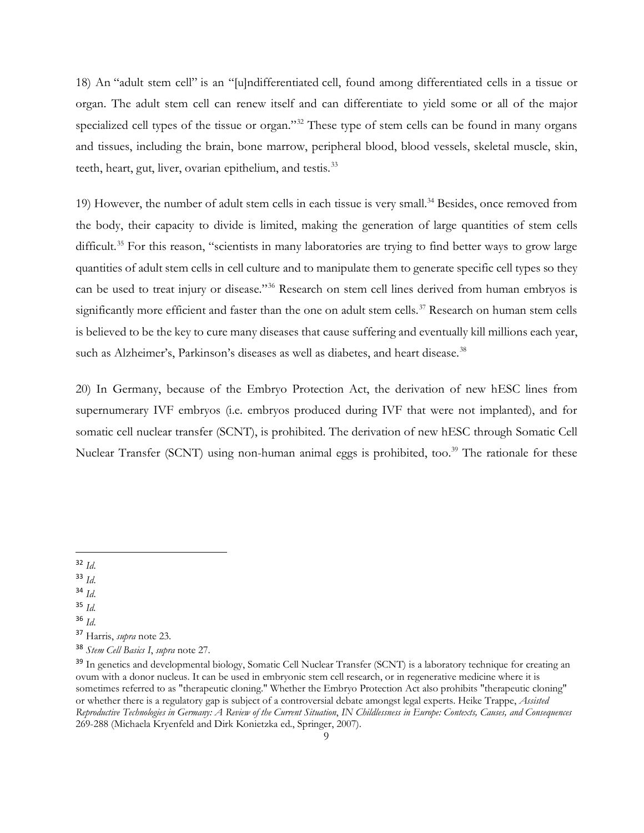18) An "adult stem cell" is an "[u]ndifferentiated cell, found among differentiated cells in a tissue or organ. The adult stem cell can renew itself and can differentiate to yield some or all of the major specialized cell types of the tissue or organ."<sup>[32](#page-8-0)</sup> These type of stem cells can be found in many organs and tissues, including the brain, bone marrow, peripheral blood, blood vessels, skeletal muscle, skin, teeth, heart, gut, liver, ovarian epithelium, and testis.<sup>[33](#page-8-1)</sup>

19) However, the number of adult stem cells in each tissue is very small.<sup>34</sup> Besides, once removed from the body, their capacity to divide is limited, making the generation of large quantities of stem cells difficult.<sup>[35](#page-8-3)</sup> For this reason, "scientists in many laboratories are trying to find better ways to grow large quantities of adult stem cells in cell culture and to manipulate them to generate specific cell types so they can be used to treat injury or disease."[36](#page-8-4) Research on stem cell lines derived from human embryos is significantly more efficient and faster than the one on adult stem cells.<sup>[37](#page-8-5)</sup> Research on human stem cells is believed to be the key to cure many diseases that cause suffering and eventually kill millions each year, such as Alzheimer's, Parkinson's diseases as well as diabetes, and heart disease.<sup>[38](#page-8-6)</sup>

20) In Germany, because of the Embryo Protection Act, the derivation of new hESC lines from supernumerary IVF embryos (i.e. embryos produced during IVF that were not implanted), and for somatic cell nuclear transfer (SCNT), is prohibited. The derivation of new hESC through Somatic Cell Nuclear Transfer (SCNT) using non-human animal eggs is prohibited, too.<sup>39</sup> The rationale for these

- <span id="page-8-1"></span><sup>33</sup> *Id*.
- <span id="page-8-2"></span><sup>34</sup> *Id*.
- <span id="page-8-3"></span><sup>35</sup> *Id.*
- <span id="page-8-4"></span><sup>36</sup> *Id*.

<span id="page-8-0"></span> <sup>32</sup> *Id*.

<span id="page-8-5"></span><sup>37</sup> Harris, *supra* note 23.

<span id="page-8-6"></span><sup>38</sup> *Stem Cell Basics I*, *supra* note 27.

<span id="page-8-7"></span><sup>&</sup>lt;sup>39</sup> In genetics and developmental biology, Somatic Cell Nuclear Transfer (SCNT) is a laboratory technique for creating an ovum with a donor nucleus. It can be used in embryonic stem cell research, or in regenerative medicine where it is sometimes referred to as "therapeutic cloning." Whether the Embryo Protection Act also prohibits "therapeutic cloning" or whether there is a regulatory gap is subject of a controversial debate amongst legal experts. Heike Trappe, *Assisted Reproductive Technologies in Germany: A Review of the Current Situation*, *IN Childlessness in Europe: Contexts, Causes, and Consequences* 269-288 (Michaela Kryenfeld and Dirk Konietzka ed., Springer, 2007).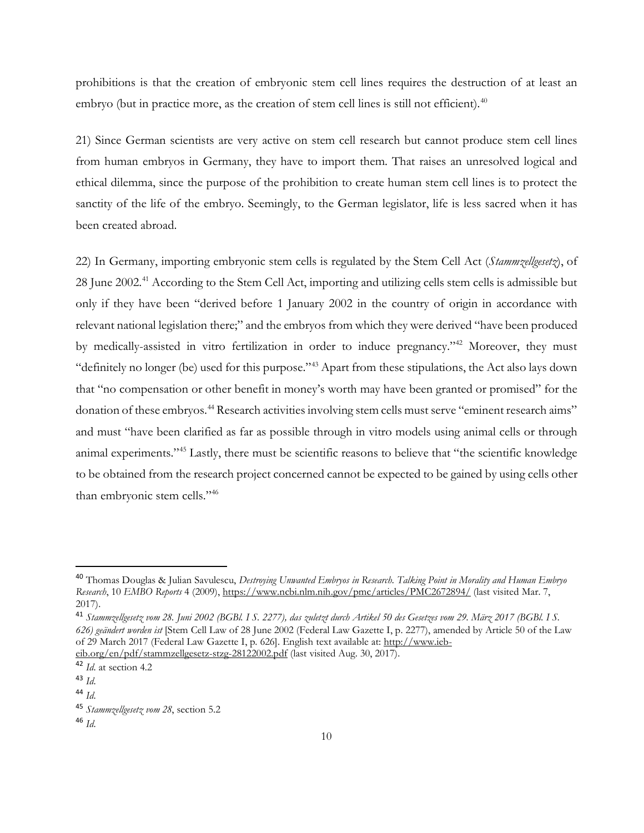prohibitions is that the creation of embryonic stem cell lines requires the destruction of at least an embryo (but in practice more, as the creation of stem cell lines is still not efficient).<sup>[40](#page-9-0)</sup>

21) Since German scientists are very active on stem cell research but cannot produce stem cell lines from human embryos in Germany, they have to import them. That raises an unresolved logical and ethical dilemma, since the purpose of the prohibition to create human stem cell lines is to protect the sanctity of the life of the embryo. Seemingly, to the German legislator, life is less sacred when it has been created abroad.

22) In Germany, importing embryonic stem cells is regulated by the Stem Cell Act (*Stammzellgesetz*), of 28 June 2002.<sup>[41](#page-9-1)</sup> According to the Stem Cell Act, importing and utilizing cells stem cells is admissible but only if they have been "derived before 1 January 2002 in the country of origin in accordance with relevant national legislation there;" and the embryos from which they were derived "have been produced by medically-assisted in vitro fertilization in order to induce pregnancy."<sup>42</sup> Moreover, they must "definitely no longer (be) used for this purpose.["43](#page-9-3) Apart from these stipulations, the Act also lays down that "no compensation or other benefit in money's worth may have been granted or promised" for the donation of these embryos.<sup>44</sup> Research activities involving stem cells must serve "eminent research aims" and must "have been clarified as far as possible through in vitro models using animal cells or through animal experiments."[45](#page-9-5) Lastly, there must be scientific reasons to believe that "the scientific knowledge to be obtained from the research project concerned cannot be expected to be gained by using cells other than embryonic stem cells.["46](#page-9-6)

<span id="page-9-0"></span> <sup>40</sup> Thomas Douglas & Julian Savulescu, *Destroying Unwanted Embryos in Research. Talking Point in Morality and Human Embryo Research*, 10 *EMBO Reports* 4 (2009)[, https://www.ncbi.nlm.nih.gov/pmc/articles/PMC2672894/](https://www.ncbi.nlm.nih.gov/pmc/articles/PMC2672894/) (last visited Mar. 7, 2017).

<span id="page-9-1"></span><sup>41</sup> *Stammzellgesetz vom 28. Juni 2002 (BGBl. I S. 2277), das zuletzt durch Artikel 50 des Gesetzes vom 29. März 2017 (BGBl. I S. 626) geändert worden ist* [Stem Cell Law of 28 June 2002 (Federal Law Gazette I, p. 2277), amended by Article 50 of the Law of 29 March 2017 (Federal Law Gazette I, p. 626]. English text available at: [http://www.ieb](http://www.ieb-eib.org/en/pdf/stammzellgesetz-stzg-28122002.pdf)[eib.org/en/pdf/stammzellgesetz-stzg-28122002.pdf](http://www.ieb-eib.org/en/pdf/stammzellgesetz-stzg-28122002.pdf) (last visited Aug. 30, 2017).

<span id="page-9-2"></span><sup>42</sup> *Id*. at section 4.2

<span id="page-9-3"></span><sup>43</sup> *Id*.

<span id="page-9-4"></span><sup>44</sup> *Id*.

<span id="page-9-5"></span><sup>45</sup> *Stammzellgesetz vom 28*, section 5.2

<span id="page-9-6"></span><sup>46</sup> *Id*.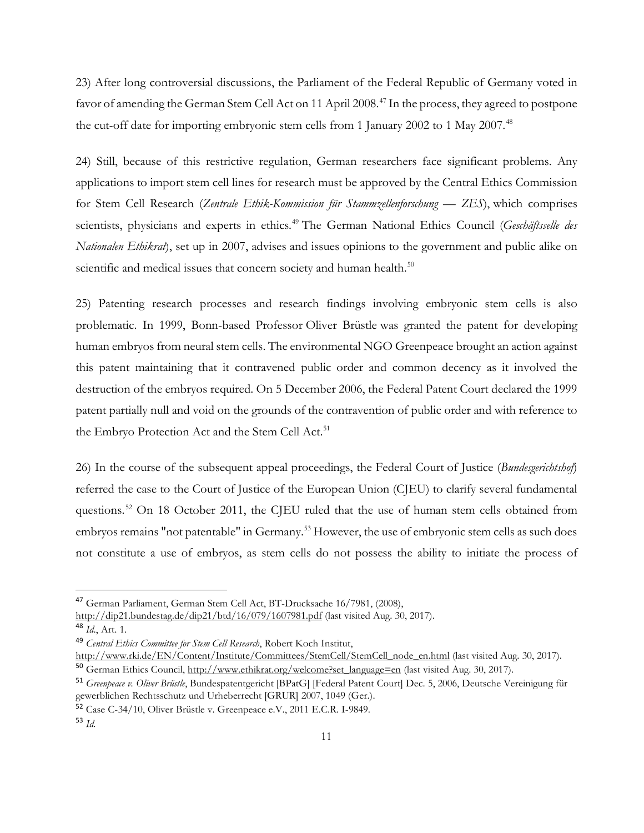23) After long controversial discussions, the Parliament of the Federal Republic of Germany voted in favor of amending the German Stem Cell Act on 11 April 2008.<sup>[47](#page-10-0)</sup> In the process, they agreed to postpone the cut-off date for importing embryonic stem cells from 1 January 2002 to 1 May 2007.<sup>[48](#page-10-1)</sup>

24) Still, because of this restrictive regulation, German researchers face significant problems. Any applications to import stem cell lines for research must be approved by the Central Ethics Commission for Stem Cell Research (*Zentrale Ethik-Kommission für Stammzellenforschung — ZES*), which comprises scientists, physicians and experts in ethics.<sup>[49](#page-10-2)</sup> The German National Ethics Council (*Geschäftsselle des Nationalen Ethikrat*), set up in 2007, advises and issues opinions to the government and public alike on scientific and medical issues that concern society and human health.<sup>[50](#page-10-3)</sup>

25) Patenting research processes and research findings involving embryonic stem cells is also problematic. In 1999, Bonn-based Professor Oliver Brüstle was granted the patent for developing human embryos from neural stem cells. The environmental NGO Greenpeace brought an action against this patent maintaining that it contravened public order and common decency as it involved the destruction of the embryos required. On 5 December 2006, the Federal Patent Court declared the 1999 patent partially null and void on the grounds of the contravention of public order and with reference to the Embryo Protection Act and the Stem Cell Act.<sup>51</sup>

26) In the course of the subsequent appeal proceedings, the Federal Court of Justice (*Bundesgerichtshof*) referred the case to the Court of Justice of the European Union (CJEU) to clarify several fundamental questions.<sup>[52](#page-10-5)</sup> On 18 October 2011, the CJEU ruled that the use of human stem cells obtained from embryos remains "not patentable" in Germany.<sup>[53](#page-10-6)</sup> However, the use of embryonic stem cells as such does not constitute a use of embryos, as stem cells do not possess the ability to initiate the process of

<span id="page-10-0"></span> <sup>47</sup> German Parliament, German Stem Cell Act, BT-Drucksache 16/7981, (2008),

<http://dip21.bundestag.de/dip21/btd/16/079/1607981.pdf> (last visited Aug. 30, 2017).

<span id="page-10-1"></span><sup>48</sup> *Id*., Art. 1.

<span id="page-10-2"></span><sup>49</sup> *Central Ethics Committee for Stem Cell Research*, Robert Koch Institut,

<span id="page-10-3"></span>[http://www.rki.de/EN/Content/Institute/Committees/StemCell/StemCell\\_node\\_en.html](http://www.rki.de/EN/Content/Institute/Committees/StemCell/StemCell_node_en.html) (last visited Aug. 30, 2017). 50 German Ethics Council, [http://www.ethikrat.org/welcome?set\\_language=en](http://www.ethikrat.org/welcome?set_language=en) (last visited Aug. 30, 2017).

<span id="page-10-4"></span><sup>51</sup> *Greenpeace v. Oliver Brüstle*, Bundespatentgericht [BPatG] [Federal Patent Court] Dec. 5, 2006, Deutsche Vereinigung für gewerblichen Rechtsschutz und Urheberrecht [GRUR] 2007, 1049 (Ger.).

<span id="page-10-5"></span><sup>52</sup> Case C-34/10, Oliver Brüstle v. Greenpeace e.V., 2011 E.C.R. I-9849.

<span id="page-10-6"></span><sup>53</sup> *Id.*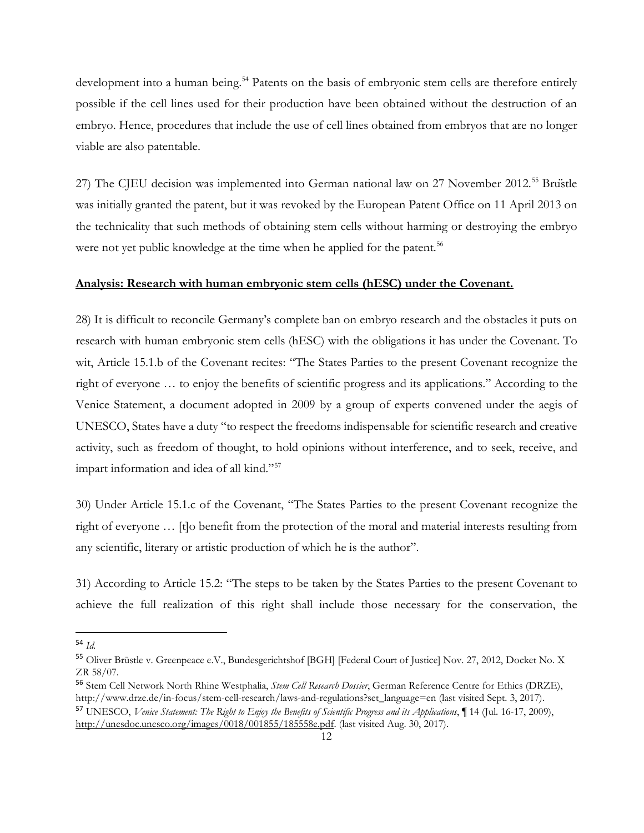development into a human being.<sup>[54](#page-11-1)</sup> Patents on the basis of embryonic stem cells are therefore entirely possible if the cell lines used for their production have been obtained without the destruction of an embryo. Hence, procedures that include the use of cell lines obtained from embryos that are no longer viable are also patentable.

27) The CJEU decision was implemented into German national law on 27 November 2012.<sup>[55](#page-11-2)</sup> Bruïstle was initially granted the patent, but it was revoked by the European Patent Office on 11 April 2013 on the technicality that such methods of obtaining stem cells without harming or destroying the embryo were not yet public knowledge at the time when he applied for the patent.<sup>[56](#page-11-3)</sup>

## <span id="page-11-0"></span>**Analysis: Research with human embryonic stem cells (hESC) under the Covenant.**

28) It is difficult to reconcile Germany's complete ban on embryo research and the obstacles it puts on research with human embryonic stem cells (hESC) with the obligations it has under the Covenant. To wit, Article 15.1.b of the Covenant recites: "The States Parties to the present Covenant recognize the right of everyone … to enjoy the benefits of scientific progress and its applications." According to the Venice Statement, a document adopted in 2009 by a group of experts convened under the aegis of UNESCO, States have a duty "to respect the freedoms indispensable for scientific research and creative activity, such as freedom of thought, to hold opinions without interference, and to seek, receive, and impart information and idea of all kind."[57](#page-11-4)

30) Under Article 15.1.c of the Covenant, "The States Parties to the present Covenant recognize the right of everyone … [t]o benefit from the protection of the moral and material interests resulting from any scientific, literary or artistic production of which he is the author".

31) According to Article 15.2: "The steps to be taken by the States Parties to the present Covenant to achieve the full realization of this right shall include those necessary for the conservation, the

<span id="page-11-1"></span> <sup>54</sup> *Id.*

<span id="page-11-2"></span><sup>55</sup> Oliver Brüstle v. Greenpeace e.V., Bundesgerichtshof [BGH] [Federal Court of Justice] Nov. 27, 2012, Docket No. X ZR 58/07.

<span id="page-11-3"></span><sup>56</sup> Stem Cell Network North Rhine Westphalia, *Stem Cell Research Dossier*, German Reference Centre for Ethics (DRZE), http://www.drze.de/in-focus/stem-cell-research/laws-and-regulations?set\_language=en (last visited Sept. 3, 2017).

<span id="page-11-4"></span><sup>57</sup> UNESCO, *Venice Statement: The Right to Enjoy the Benefits of Scientific Progress and its Applications*, ¶ 14 (Jul. 16-17, 2009), [http://unesdoc.unesco.org/images/0018/001855/185558e.pdf.](http://unesdoc.unesco.org/images/0018/001855/185558e.pdf) (last visited Aug. 30, 2017).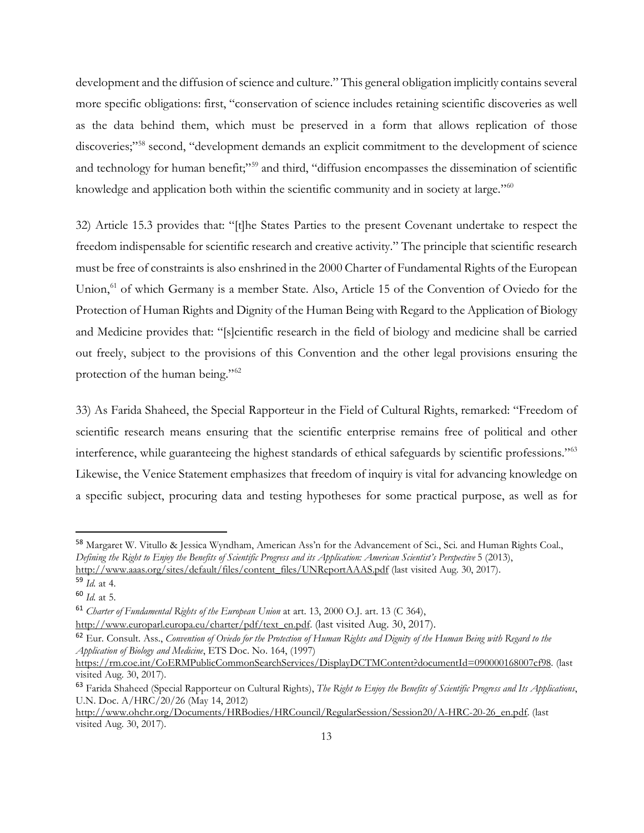development and the diffusion of science and culture." This general obligation implicitly contains several more specific obligations: first, "conservation of science includes retaining scientific discoveries as well as the data behind them, which must be preserved in a form that allows replication of those discoveries;"<sup>[58](#page-12-0)</sup> second, "development demands an explicit commitment to the development of science and technology for human benefit;"<sup>[59](#page-12-1)</sup> and third, "diffusion encompasses the dissemination of scientific knowledge and application both within the scientific community and in society at large."<sup>[60](#page-12-2)</sup>

32) Article 15.3 provides that: "[t]he States Parties to the present Covenant undertake to respect the freedom indispensable for scientific research and creative activity." The principle that scientific research must be free of constraints is also enshrined in the 2000 Charter of Fundamental Rights of the European Union,<sup>[61](#page-12-3)</sup> of which Germany is a member State. Also, Article 15 of the Convention of Oviedo for the Protection of Human Rights and Dignity of the Human Being with Regard to the Application of Biology and Medicine provides that: "[s]cientific research in the field of biology and medicine shall be carried out freely, subject to the provisions of this Convention and the other legal provisions ensuring the protection of the human being."<sup>[62](#page-12-4)</sup>

33) As Farida Shaheed, the Special Rapporteur in the Field of Cultural Rights, remarked: "Freedom of scientific research means ensuring that the scientific enterprise remains free of political and other interference, while guaranteeing the highest standards of ethical safeguards by scientific professions."[63](#page-12-5) Likewise, the Venice Statement emphasizes that freedom of inquiry is vital for advancing knowledge on a specific subject, procuring data and testing hypotheses for some practical purpose, as well as for

<span id="page-12-0"></span> <sup>58</sup> Margaret W. Vitullo & Jessica Wyndham, American Ass'n for the Advancement of Sci., Sci. and Human Rights Coal., *Defining the Right to Enjoy the Benefits of Scientific Progress and its Application: American Scientist's Perspective* 5 (2013), [http://www.aaas.org/sites/default/files/content\\_files/UNReportAAAS.pdf](http://www.aaas.org/sites/default/files/content_files/UNReportAAAS.pdf) (last visited Aug. 30, 2017).

<span id="page-12-1"></span><sup>59</sup> *Id.* at 4.

<span id="page-12-2"></span><sup>60</sup> *Id.* at 5.

<span id="page-12-3"></span><sup>61</sup> *Charter of Fundamental Rights of the European Union* at art. 13, 2000 O.J. art. 13 (C 364),

[http://www.europarl.europa.eu/charter/pdf/text\\_en.pdf.](http://www.europarl.europa.eu/charter/pdf/text_en.pdf) (last visited Aug. 30, 2017).

<span id="page-12-4"></span><sup>62</sup> Eur. Consult. Ass., *Convention of Oviedo for the Protection of Human Rights and Dignity of the Human Being with Regard to the Application of Biology and Medicine*, ETS Doc. No. 164, (1997)

[https://rm.coe.int/CoERMPublicCommonSearchServices/DisplayDCTMContent?documentId=090000168007cf98.](https://rm.coe.int/CoERMPublicCommonSearchServices/DisplayDCTMContent?documentId=090000168007cf98) (last visited Aug. 30, 2017).

<span id="page-12-5"></span><sup>63</sup> Farida Shaheed (Special Rapporteur on Cultural Rights), *The Right to Enjoy the Benefits of Scientific Progress and Its Applications*, U.N. Doc. A/HRC/20/26 (May 14, 2012)

[http://www.ohchr.org/Documents/HRBodies/HRCouncil/RegularSession/Session20/A-HRC-20-26\\_en.pdf.](http://www.ohchr.org/Documents/HRBodies/HRCouncil/RegularSession/Session20/A-HRC-20-26_en.pdf) (last visited Aug. 30, 2017).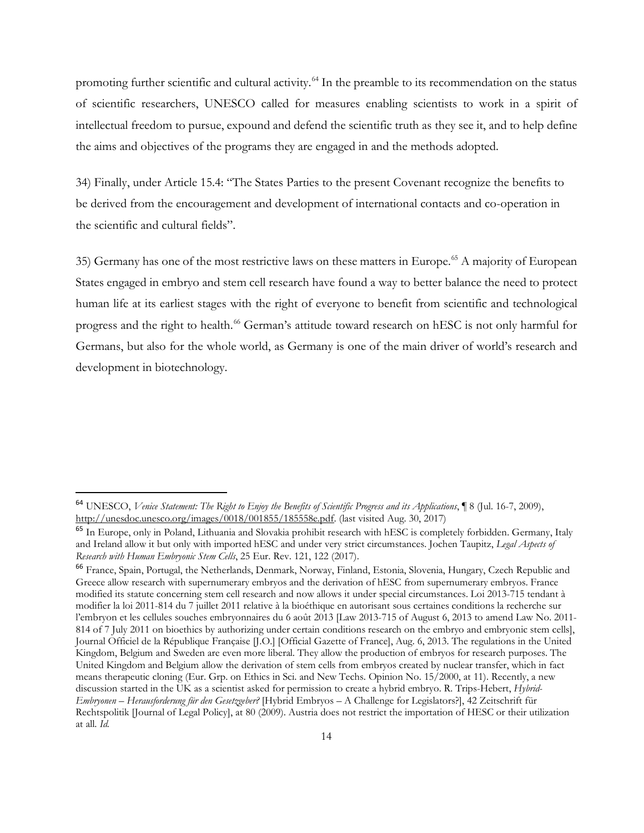promoting further scientific and cultural activity.<sup>[64](#page-13-0)</sup> In the preamble to its recommendation on the status of scientific researchers, UNESCO called for measures enabling scientists to work in a spirit of intellectual freedom to pursue, expound and defend the scientific truth as they see it, and to help define the aims and objectives of the programs they are engaged in and the methods adopted.

34) Finally, under Article 15.4: "The States Parties to the present Covenant recognize the benefits to be derived from the encouragement and development of international contacts and co-operation in the scientific and cultural fields".

35) Germany has one of the most restrictive laws on these matters in Europe.[65](#page-13-1) A majority of European States engaged in embryo and stem cell research have found a way to better balance the need to protect human life at its earliest stages with the right of everyone to benefit from scientific and technological progress and the right to health.<sup>[66](#page-13-2)</sup> German's attitude toward research on hESC is not only harmful for Germans, but also for the whole world, as Germany is one of the main driver of world's research and development in biotechnology.

<span id="page-13-0"></span> <sup>64</sup> UNESCO, *Venice Statement: The Right to Enjoy the Benefits of Scientific Progress and its Applications*, ¶ 8 (Jul. 16-7, 2009), [http://unesdoc.unesco.org/images/0018/001855/185558e.pdf.](http://unesdoc.unesco.org/images/0018/001855/185558e.pdf) (last visited Aug. 30, 2017)

<span id="page-13-1"></span><sup>65</sup> In Europe, only in Poland, Lithuania and Slovakia prohibit research with hESC is completely forbidden. Germany, Italy and Ireland allow it but only with imported hESC and under very strict circumstances. Jochen Taupitz, *Legal Aspects of Research with Human Embryonic Stem Cells*, 25 Eur. Rev. 121, 122 (2017).

<span id="page-13-2"></span><sup>66</sup> France, Spain, Portugal, the Netherlands, Denmark, Norway, Finland, Estonia, Slovenia, Hungary, Czech Republic and Greece allow research with supernumerary embryos and the derivation of hESC from supernumerary embryos. France modified its statute concerning stem cell research and now allows it under special circumstances. Loi 2013-715 tendant à modifier la loi 2011-814 du 7 juillet 2011 relative à la bioéthique en autorisant sous certaines conditions la recherche sur l'embryon et les cellules souches embryonnaires du 6 août 2013 [Law 2013-715 of August 6, 2013 to amend Law No. 2011- 814 of 7 July 2011 on bioethics by authorizing under certain conditions research on the embryo and embryonic stem cells], Journal Officiel de la République Française [J.O.] [Official Gazette of France], Aug. 6, 2013. The regulations in the United Kingdom, Belgium and Sweden are even more liberal. They allow the production of embryos for research purposes. The United Kingdom and Belgium allow the derivation of stem cells from embryos created by nuclear transfer, which in fact means therapeutic cloning (Eur. Grp. on Ethics in Sci. and New Techs. Opinion No. 15/2000, at 11). Recently, a new discussion started in the UK as a scientist asked for permission to create a hybrid embryo. R. Trips-Hebert, *Hybrid-Embryonen – Herausforderung für den Gesetzgeber?* [Hybrid Embryos – A Challenge for Legislators?], 42 Zeitschrift für Rechtspolitik [Journal of Legal Policy], at 80 (2009). Austria does not restrict the importation of HESC or their utilization at all. *Id.*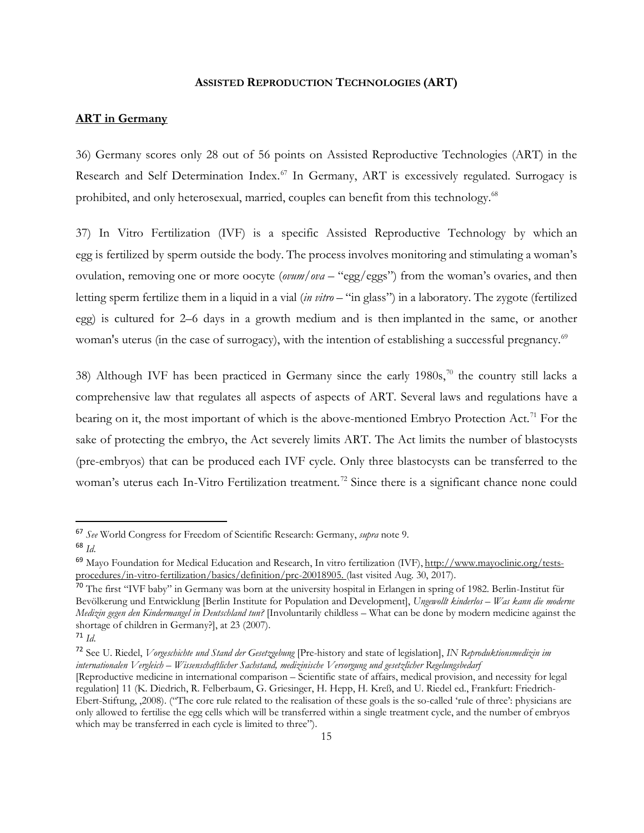#### **ASSISTED REPRODUCTION TECHNOLOGIES (ART)**

## <span id="page-14-1"></span><span id="page-14-0"></span>**ART in Germany**

36) Germany scores only 28 out of 56 points on Assisted Reproductive Technologies (ART) in the Research and Self Determination Index.<sup>[67](#page-14-2)</sup> In Germany, ART is excessively regulated. Surrogacy is prohibited, and only heterosexual, married, couples can benefit from this technology.<sup>68</sup>

37) In Vitro Fertilization (IVF) is a specific Assisted Reproductive Technology by which an egg is fertilized by sperm outside the body. The process involves monitoring and stimulating a woman's ovulation, removing one or more oocyte (*ovum/ova* – "egg/eggs") from the woman's ovaries, and then letting sperm fertilize them in a liquid in a vial (*in vitro* – "in glass") in a laboratory. The zygote (fertilized egg) is cultured for 2–6 days in a growth medium and is then implanted in the same, or another woman's uterus (in the case of surrogacy), with the intention of establishing a successful pregnancy.<sup>[69](#page-14-4)</sup>

38) Although IVF has been practiced in Germany since the early  $1980s$ ,<sup>[70](#page-14-5)</sup> the country still lacks a comprehensive law that regulates all aspects of aspects of ART. Several laws and regulations have a bearing on it, the most important of which is the above-mentioned Embryo Protection Act.<sup>[71](#page-14-6)</sup> For the sake of protecting the embryo, the Act severely limits ART. The Act limits the number of blastocysts (pre-embryos) that can be produced each IVF cycle. Only three blastocysts can be transferred to the woman's uterus each In-Vitro Fertilization treatment.<sup>[72](#page-14-7)</sup> Since there is a significant chance none could

<span id="page-14-3"></span><span id="page-14-2"></span> <sup>67</sup> *See* World Congress for Freedom of Scientific Research: Germany, *supra* note 9. <sup>68</sup> *Id*.

<span id="page-14-4"></span><sup>&</sup>lt;sup>69</sup> Mayo Foundation for Medical Education and Research, In vitro fertilization (IVF), [http://www.mayoclinic.org/tests](http://www.mayoclinic.org/tests-procedures/in-vitro-fertilization/basics/definition/prc-20018905)[procedures/in-vitro-fertilization/basics/definition/prc-20018905.](http://www.mayoclinic.org/tests-procedures/in-vitro-fertilization/basics/definition/prc-20018905) (last visited Aug. 30, 2017).

<span id="page-14-5"></span> $70$  The first "IVF baby" in Germany was born at the university hospital in Erlangen in spring of 1982. Berlin-Institut für Bevölkerung und Entwicklung [Berlin Institute for Population and Development], *Ungewollt kinderlos – Was kann die moderne Medizin gegen den Kindermangel in Deutschland tun?* [Involuntarily childless – What can be done by modern medicine against the shortage of children in Germany?], at 23 (2007).

<span id="page-14-6"></span><sup>71</sup> *Id*.

<span id="page-14-7"></span><sup>72</sup> See U. Riedel, *Vorgeschichte und Stand der Gesetzgebung* [Pre-history and state of legislation], *IN Reproduktionsmedizin im internationalen Vergleich – Wissenschaftlicher Sachstand, medizinische Versorgung und gesetzlicher Regelungsbedarf* 

<sup>[</sup>Reproductive medicine in international comparison – Scientific state of affairs, medical provision, and necessity for legal regulation] 11 (K. Diedrich, R. Felberbaum, G. Griesinger, H. Hepp, H. Kreß, and U. Riedel ed., Frankfurt: Friedrich-Ebert-Stiftung, ,2008). ("The core rule related to the realisation of these goals is the so-called 'rule of three': physicians are only allowed to fertilise the egg cells which will be transferred within a single treatment cycle, and the number of embryos which may be transferred in each cycle is limited to three").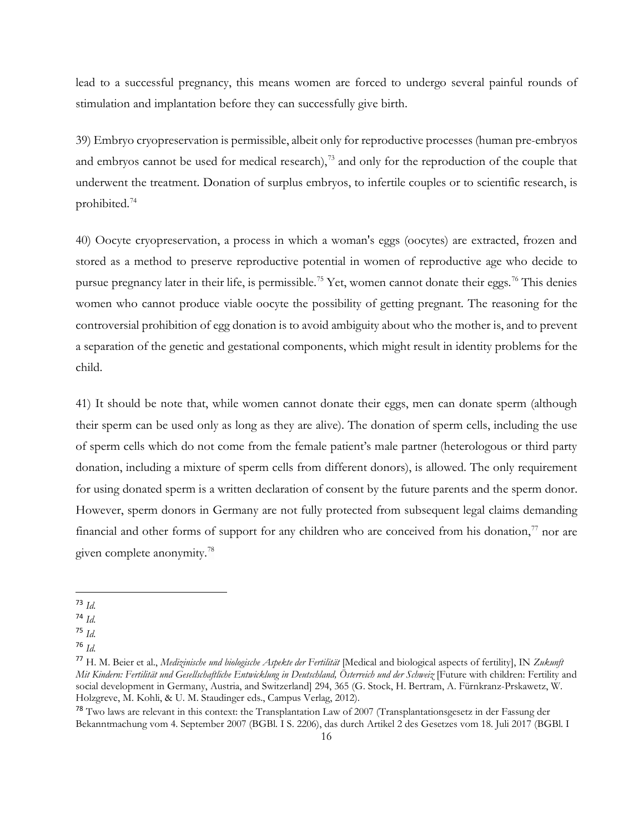lead to a successful pregnancy, this means women are forced to undergo several painful rounds of stimulation and implantation before they can successfully give birth.

39) Embryo cryopreservation is permissible, albeit only for reproductive processes (human pre-embryos and embryos cannot be used for medical research), $^{73}$  $^{73}$  $^{73}$  and only for the reproduction of the couple that underwent the treatment. Donation of surplus embryos, to infertile couples or to scientific research, is prohibited.[74](#page-15-1)

40) Oocyte cryopreservation, a process in which a woman's eggs (oocytes) are extracted, frozen and stored as a method to preserve reproductive potential in women of reproductive age who decide to pursue pregnancy later in their life, is permissible.<sup>75</sup> Yet, women cannot donate their eggs.<sup>[76](#page-15-3)</sup> This denies women who cannot produce viable oocyte the possibility of getting pregnant. The reasoning for the controversial prohibition of egg donation is to avoid ambiguity about who the mother is, and to prevent a separation of the genetic and gestational components, which might result in identity problems for the child.

41) It should be note that, while women cannot donate their eggs, men can donate sperm (although their sperm can be used only as long as they are alive). The donation of sperm cells, including the use of sperm cells which do not come from the female patient's male partner (heterologous or third party donation, including a mixture of sperm cells from different donors), is allowed. The only requirement for using donated sperm is a written declaration of consent by the future parents and the sperm donor. However, sperm donors in Germany are not fully protected from subsequent legal claims demanding financial and other forms of support for any children who are conceived from his donation, $\frac{7}{1}$  nor are given complete anonymity[.78](#page-15-5)

<span id="page-15-0"></span> <sup>73</sup> *Id.*

<span id="page-15-1"></span><sup>74</sup> *Id.*

<span id="page-15-2"></span><sup>75</sup> *Id.*

<span id="page-15-3"></span><sup>76</sup> *Id.*

<span id="page-15-4"></span><sup>77</sup> H. M. Beier et al., *Medizinische und biologische Aspekte der Fertilität* [Medical and biological aspects of fertility], IN *Zukunft Mit Kindern: Fertilität und Gesellschaftliche Entwicklung in Deutschland, Österreich und der Schweiz* [Future with children: Fertility and social development in Germany, Austria, and Switzerland] 294, 365 (G. Stock, H. Bertram, A. Fürnkranz-Prskawetz, W. Holzgreve, M. Kohli, & U. M. Staudinger eds., Campus Verlag, 2012).

<span id="page-15-5"></span><sup>78</sup> Two laws are relevant in this context: the Transplantation Law of 2007 (Transplantationsgesetz in der Fassung der Bekanntmachung vom 4. September 2007 (BGBl. I S. 2206), das durch Artikel 2 des Gesetzes vom 18. Juli 2017 (BGBl. I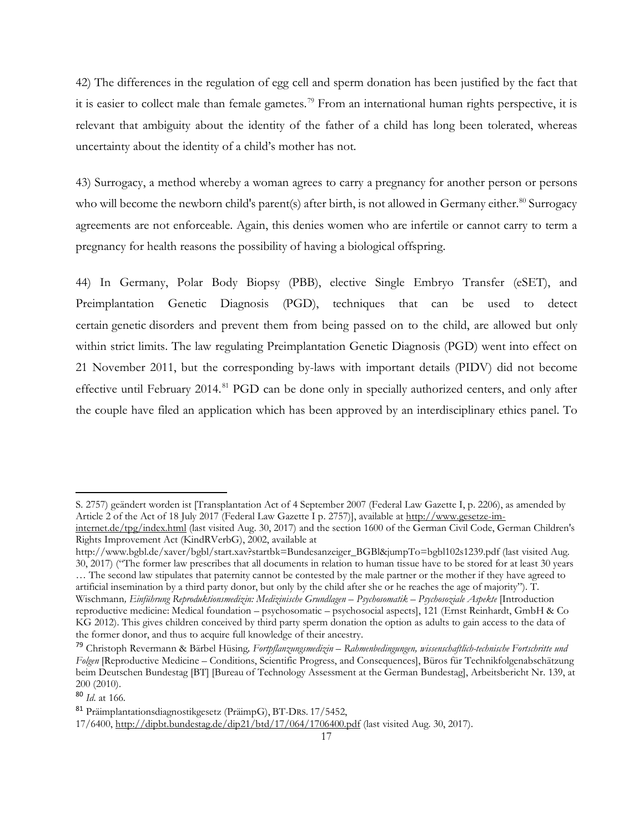42) The differences in the regulation of egg cell and sperm donation has been justified by the fact that it is easier to collect male than female gametes.[79](#page-16-0) From an international human rights perspective, it is relevant that ambiguity about the identity of the father of a child has long been tolerated, whereas uncertainty about the identity of a child's mother has not.

43) Surrogacy, a method whereby a woman agrees to carry a pregnancy for another person or persons who will become the newborn child's parent(s) after birth, is not allowed in Germany either.<sup>[80](#page-16-1)</sup> Surrogacy agreements are not enforceable. Again, this denies women who are infertile or cannot carry to term a pregnancy for health reasons the possibility of having a biological offspring.

44) In Germany, Polar Body Biopsy (PBB), elective Single Embryo Transfer (eSET), and Preimplantation Genetic Diagnosis (PGD), techniques that can be used to detect certain genetic disorders and prevent them from being passed on to the child, are allowed but only within strict limits. The law regulating Preimplantation Genetic Diagnosis (PGD) went into effect on 21 November 2011, but the corresponding by-laws with important details (PIDV) did not become effective until February 2014.<sup>[81](#page-16-2)</sup> PGD can be done only in specially authorized centers, and only after the couple have filed an application which has been approved by an interdisciplinary ethics panel. To

artificial insemination by a third party donor, but only by the child after she or he reaches the age of majority"). T. Wischmann*, Einführung Reproduktionsmedizin: Medizinische Grundlagen – Psychosomatik – Psychosoziale Aspekte* [Introduction reproductive medicine: Medical foundation – psychosomatic – psychosocial aspects], 121 (Ernst Reinhardt, GmbH & Co KG 2012). This gives children conceived by third party sperm donation the option as adults to gain access to the data of the former donor, and thus to acquire full knowledge of their ancestry.

 $\overline{a}$ 

S. 2757) geändert worden ist [Transplantation Act of 4 September 2007 (Federal Law Gazette I, p. 2206), as amended by Article 2 of the Act of 18 July 2017 (Federal Law Gazette I p. 2757)], available at [http://www.gesetze-im-](http://www.gesetze-im-internet.de/tpg/index.html)

[internet.de/tpg/index.html](http://www.gesetze-im-internet.de/tpg/index.html) (last visited Aug. 30, 2017) and the section 1600 of the German Civil Code, German Children's Rights Improvement Act (KindRVerbG), 2002, available at

http://www.bgbl.de/xaver/bgbl/start.xav?startbk=Bundesanzeiger\_BGBl&jumpTo=bgbl102s1239.pdf (last visited Aug. 30, 2017) ("The former law prescribes that all documents in relation to human tissue have to be stored for at least 30 years … The second law stipulates that paternity cannot be contested by the male partner or the mother if they have agreed to

<span id="page-16-0"></span><sup>79</sup> Christoph Revermann & Bärbel Hüsing*, Fortpflanzungsmedizin – Rahmenbedingungen, wissenschaftlich-technische Fortschritte und Folgen* [Reproductive Medicine – Conditions, Scientific Progress, and Consequences], Büros für Technikfolgenabschätzung beim Deutschen Bundestag [BT] [Bureau of Technology Assessment at the German Bundestag], Arbeitsbericht Nr. 139, at 200 (2010).

<span id="page-16-1"></span><sup>80</sup> *Id*. at 166.

<span id="page-16-2"></span><sup>81</sup> Präimplantationsdiagnostikgesetz (PräimpG), BT-DRS. 17/5452,

<sup>17/6400,</sup> <http://dipbt.bundestag.de/dip21/btd/17/064/1706400.pdf> (last visited Aug. 30, 2017).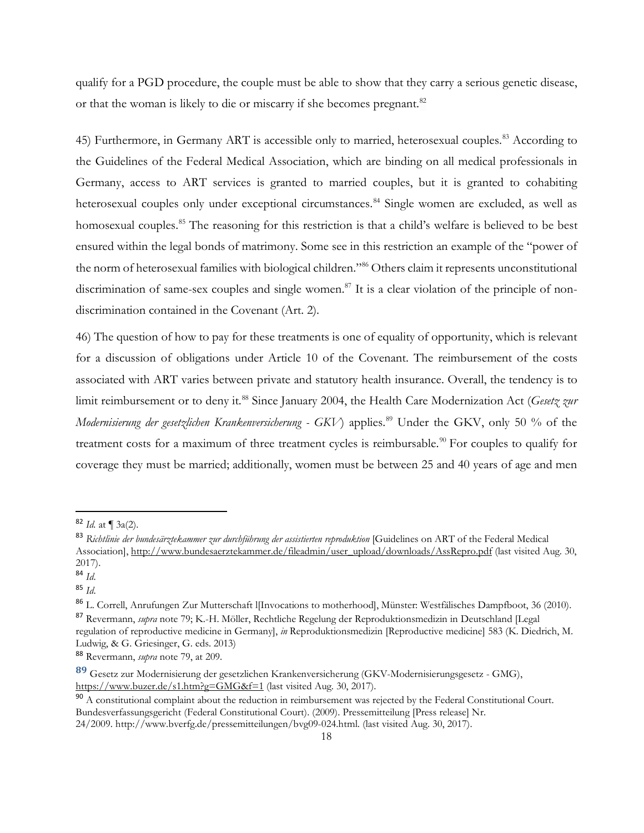qualify for a PGD procedure, the couple must be able to show that they carry a serious genetic disease, or that the woman is likely to die or miscarry if she becomes pregnant.<sup>[82](#page-17-0)</sup>

45) Furthermore, in Germany ART is accessible only to married, heterosexual couples.<sup>[83](#page-17-1)</sup> According to the Guidelines of the Federal Medical Association, which are binding on all medical professionals in Germany, access to ART services is granted to married couples, but it is granted to cohabiting heterosexual couples only under exceptional circumstances.<sup>[84](#page-17-2)</sup> Single women are excluded, as well as homosexual couples.<sup>[85](#page-17-3)</sup> The reasoning for this restriction is that a child's welfare is believed to be best ensured within the legal bonds of matrimony. Some see in this restriction an example of the "power of the norm of heterosexual families with biological children."<sup>86</sup> Others claim it represents unconstitutional discrimination of same-sex couples and single women.<sup>[87](#page-17-5)</sup> It is a clear violation of the principle of nondiscrimination contained in the Covenant (Art. 2).

46) The question of how to pay for these treatments is one of equality of opportunity, which is relevant for a discussion of obligations under Article 10 of the Covenant. The reimbursement of the costs associated with ART varies between private and statutory health insurance. Overall, the tendency is to limit reimbursement or to deny it.<sup>[88](#page-17-6)</sup> Since January 2004, the Health Care Modernization Act (*Gesetz zur Modernisierung der gesetzlichen Krankenversicherung - GKV*) applies.<sup>[89](#page-17-7)</sup> Under the GKV, only 50 % of the treatment costs for a maximum of three treatment cycles is reimbursable.<sup>[90](#page-17-8)</sup> For couples to qualify for coverage they must be married; additionally, women must be between 25 and 40 years of age and men

<span id="page-17-5"></span><span id="page-17-4"></span><sup>86</sup> L. Correll, Anrufungen Zur Mutterschaft l[Invocations to motherhood], Münster: Westfälisches Dampfboot, 36 (2010). <sup>87</sup> Revermann, *supra* note 79; K.-H. Möller, Rechtliche Regelung der Reproduktionsmedizin in Deutschland [Legal regulation of reproductive medicine in Germany], *in* Reproduktionsmedizin [Reproductive medicine] 583 (K. Diedrich, M.

<span id="page-17-0"></span> <sup>82</sup> *Id.* at ¶ 3a(2).

<span id="page-17-1"></span><sup>83</sup> *Richtlinie der bundesärztekammer zur durchführung der assistierten reproduktion* [Guidelines on ART of the Federal Medical Association][, http://www.bundesaerztekammer.de/fileadmin/user\\_upload/downloads/AssRepro.pdf](http://www.bundesaerztekammer.de/fileadmin/user_upload/downloads/AssRepro.pdf) (last visited Aug. 30, 2017).

<span id="page-17-2"></span><sup>84</sup> *Id*.

<span id="page-17-3"></span><sup>85</sup> *Id*.

Ludwig, & G. Griesinger, G. eds. 2013)

<span id="page-17-6"></span><sup>88</sup> Revermann, *supra* note 79, at 209.

<span id="page-17-7"></span>**<sup>89</sup>** Gesetz zur Modernisierung der gesetzlichen Krankenversicherung (GKV-Modernisierungsgesetz - GMG), <https://www.buzer.de/s1.htm?g=GMG&f=1> (last visited Aug. 30, 2017).

<span id="page-17-8"></span><sup>&</sup>lt;sup>90</sup> A constitutional complaint about the reduction in reimbursement was rejected by the Federal Constitutional Court. Bundesverfassungsgericht (Federal Constitutional Court). (2009). Pressemitteilung [Press release] Nr.

<sup>24/2009.</sup> [http://www.bverfg.de/pressemitteilungen/bvg09-024.html.](http://www.bverfg.de/pressemitteilungen/bvg09-024.html) (last visited Aug. 30, 2017).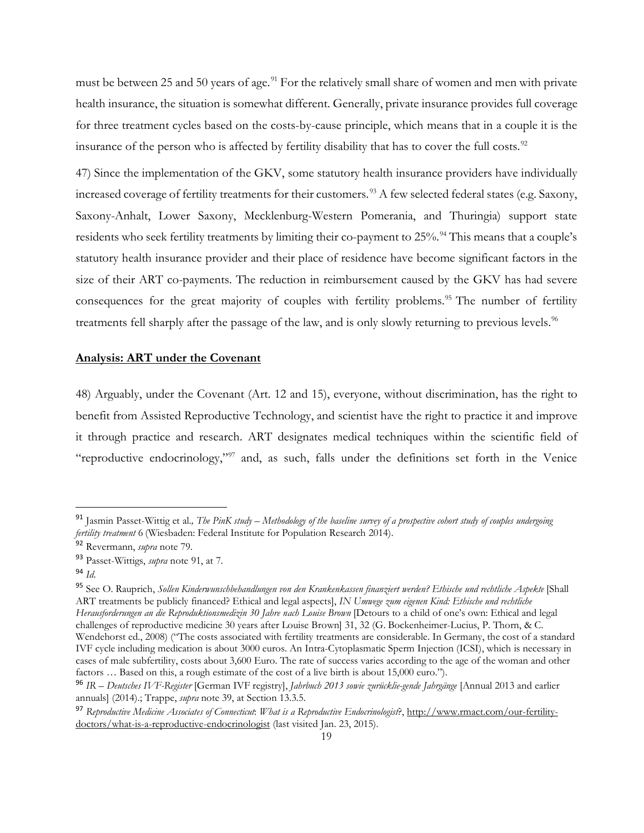must be between 25 and 50 years of age.<sup>[91](#page-18-1)</sup> For the relatively small share of women and men with private health insurance, the situation is somewhat different. Generally, private insurance provides full coverage for three treatment cycles based on the costs-by-cause principle, which means that in a couple it is the insurance of the person who is affected by fertility disability that has to cover the full costs.<sup>[92](#page-18-2)</sup>

47) Since the implementation of the GKV, some statutory health insurance providers have individually increased coverage of fertility treatments for their customers.<sup>[93](#page-18-3)</sup> A few selected federal states (e.g. Saxony, Saxony-Anhalt, Lower Saxony, Mecklenburg-Western Pomerania, and Thuringia) support state residents who seek fertility treatments by limiting their co-payment to 25%.<sup>[94](#page-18-4)</sup> This means that a couple's statutory health insurance provider and their place of residence have become significant factors in the size of their ART co-payments. The reduction in reimbursement caused by the GKV has had severe consequences for the great majority of couples with fertility problems.<sup>[95](#page-18-5)</sup> The number of fertility treatments fell sharply after the passage of the law, and is only slowly returning to previous levels.<sup>96</sup>

## <span id="page-18-0"></span>**Analysis: ART under the Covenant**

48) Arguably, under the Covenant (Art. 12 and 15), everyone, without discrimination, has the right to benefit from Assisted Reproductive Technology, and scientist have the right to practice it and improve it through practice and research. ART designates medical techniques within the scientific field of "reproductive endocrinology,"[97](#page-18-7) and, as such, falls under the definitions set forth in the Venice

<span id="page-18-1"></span> <sup>91</sup> Jasmin Passet-Wittig et al.*, The PinK study – Methodology of the baseline survey of a prospective cohort study of couples undergoing fertility treatment* 6 (Wiesbaden: Federal Institute for Population Research 2014).

<span id="page-18-2"></span><sup>92</sup> Revermann, *supra* note 79.

<span id="page-18-3"></span><sup>93</sup> Passet-Wittigs, *supra* note 91, at 7.

<span id="page-18-4"></span><sup>94</sup> *Id*.

<span id="page-18-5"></span><sup>95</sup> See O. Rauprich, *Sollen Kinderwunschbehandlungen von den Krankenkassen finanziert werden? Ethische und rechtliche Aspekte* [Shall ART treatments be publicly financed? Ethical and legal aspects], *IN Umwege zum eigenen Kind: Ethische und rechtliche Herausforderungen an die Reproduktionsmedizin 30 Jahre nach Louise Brown* [Detours to a child of one's own: Ethical and legal challenges of reproductive medicine 30 years after Louise Brown] 31, 32 (G. Bockenheimer-Lucius, P. Thorn, & C. Wendehorst ed., 2008) ("The costs associated with fertility treatments are considerable. In Germany, the cost of a standard IVF cycle including medication is about 3000 euros. An Intra-Cytoplasmatic Sperm Injection (ICSI), which is necessary in cases of male subfertility, costs about 3,600 Euro. The rate of success varies according to the age of the woman and other factors … Based on this, a rough estimate of the cost of a live birth is about 15,000 euro.").

<span id="page-18-6"></span><sup>96</sup> *IR – Deutsches IVF-Register* [German IVF registry], *Jahrbuch 2013 sowie zurücklie-gende Jahrgänge* [Annual 2013 and earlier annuals] (2014).; Trappe, *supra* note 39, at Section 13.3.5.

<span id="page-18-7"></span><sup>97</sup> *Reproductive Medicine Associates of Connecticut*: *What is a Reproductive Endocrinologist*?, [http://www.rmact.com/our-fertility](http://www.rmact.com/our-fertility-doctors/what-is-a-reproductive-endocrinologist)[doctors/what-is-a-reproductive-endocrinologist](http://www.rmact.com/our-fertility-doctors/what-is-a-reproductive-endocrinologist) (last visited Jan. 23, 2015).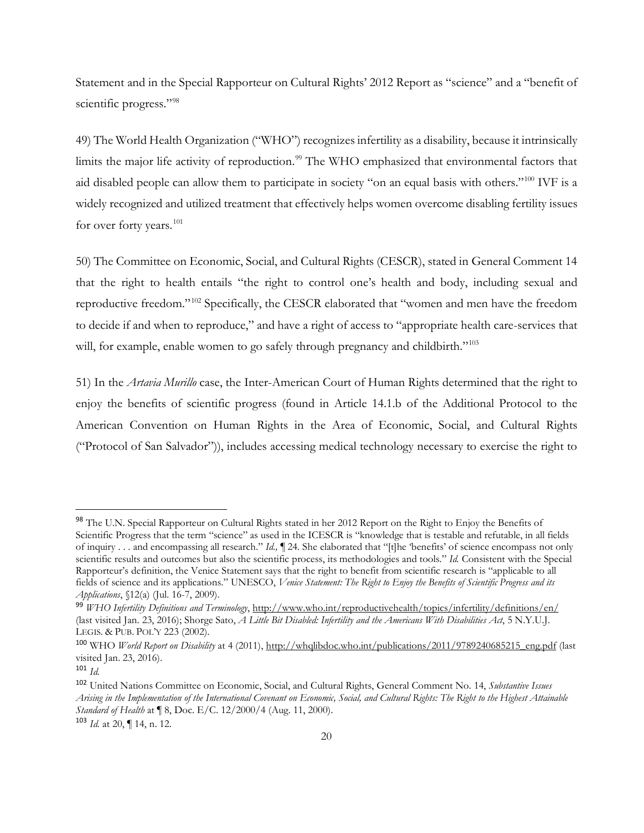Statement and in the Special Rapporteur on Cultural Rights' 2012 Report as "science" and a "benefit of scientific progress."<sup>[98](#page-19-0)</sup>

49) The World Health Organization ("WHO") recognizes infertility as a disability, because it intrinsically limits the major life activity of reproduction.<sup>[99](#page-19-1)</sup> The WHO emphasized that environmental factors that aid disabled people can allow them to participate in society "on an equal basis with others."[100](#page-19-2) IVF is a widely recognized and utilized treatment that effectively helps women overcome disabling fertility issues for over forty years.<sup>[101](#page-19-3)</sup>

50) The Committee on Economic, Social, and Cultural Rights (CESCR), stated in General Comment 14 that the right to health entails "the right to control one's health and body, including sexual and reproductive freedom."[102](#page-19-4) Specifically, the CESCR elaborated that "women and men have the freedom to decide if and when to reproduce," and have a right of access to "appropriate health care-services that will, for example, enable women to go safely through pregnancy and childbirth."<sup>[103](#page-19-5)</sup>

51) In the *Artavia Murillo* case, the Inter-American Court of Human Rights determined that the right to enjoy the benefits of scientific progress (found in Article 14.1.b of the Additional Protocol to the American Convention on Human Rights in the Area of Economic, Social, and Cultural Rights ("Protocol of San Salvador")), includes accessing medical technology necessary to exercise the right to

<span id="page-19-0"></span><sup>98</sup> The U.N. Special Rapporteur on Cultural Rights stated in her 2012 Report on the Right to Enjoy the Benefits of Scientific Progress that the term "science" as used in the ICESCR is "knowledge that is testable and refutable, in all fields of inquiry . . . and encompassing all research." *Id.,* ¶ 24. She elaborated that "[t]he 'benefits' of science encompass not only scientific results and outcomes but also the scientific process, its methodologies and tools." *Id.* Consistent with the Special Rapporteur's definition, the Venice Statement says that the right to benefit from scientific research is "applicable to all fields of science and its applications." UNESCO, *Venice Statement: The Right to Enjoy the Benefits of Scientific Progress and its Applications*, §12(a) (Jul. 16-7, 2009).

<span id="page-19-1"></span><sup>99</sup> *WHO Infertility Definitions and Terminology*,<http://www.who.int/reproductivehealth/topics/infertility/definitions/en/> (last visited Jan. 23, 2016); Shorge Sato, *A Little Bit Disabled: Infertility and the Americans With Disabilities Act*, 5 N.Y.U.J. LEGIS. & PUB. POL'Y 223 (2002).

<span id="page-19-2"></span><sup>100</sup> WHO *World Report on Disability* at 4 (2011), [http://whqlibdoc.who.int/publications/2011/9789240685215\\_eng.pdf](http://whqlibdoc.who.int/publications/2011/9789240685215_eng.pdf) (last visited Jan. 23, 2016).

<span id="page-19-3"></span><sup>101</sup> *Id.*

<span id="page-19-4"></span><sup>102</sup> United Nations Committee on Economic, Social, and Cultural Rights, General Comment No. 14, *Substantive Issues Arising in the Implementation of the International Covenant on Economic, Social, and Cultural Rights: The Right to the Highest Attainable Standard of Health* at ¶ 8, Doc. E/C. 12/2000/4 (Aug. 11, 2000).

<span id="page-19-5"></span><sup>103</sup> *Id.* at 20, ¶ 14, n. 12.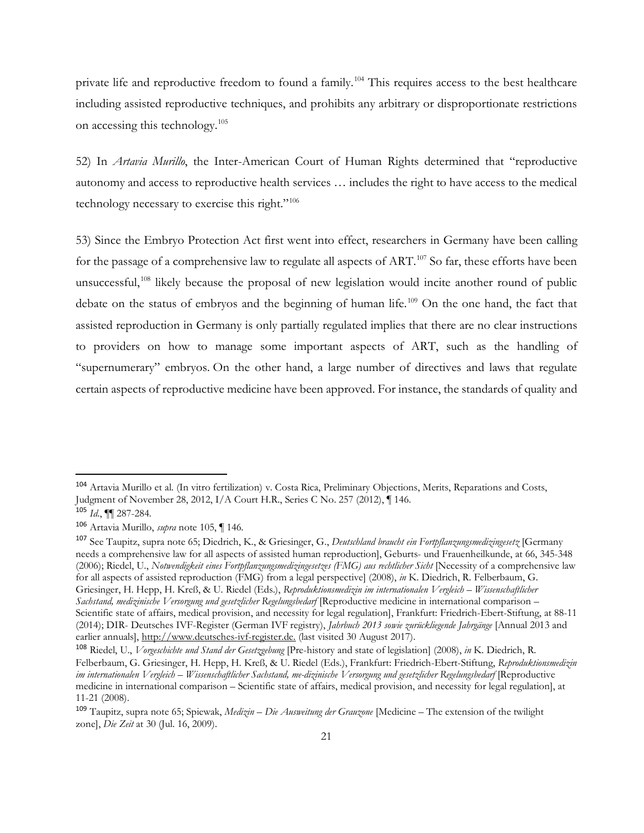private life and reproductive freedom to found a family.<sup>[104](#page-20-0)</sup> This requires access to the best healthcare including assisted reproductive techniques, and prohibits any arbitrary or disproportionate restrictions on accessing this technology.[105](#page-20-1)

52) In *Artavia Murillo*, the Inter-American Court of Human Rights determined that "reproductive autonomy and access to reproductive health services … includes the right to have access to the medical technology necessary to exercise this right."[106](#page-20-2)

53) Since the Embryo Protection Act first went into effect, researchers in Germany have been calling for the passage of a comprehensive law to regulate all aspects of ART.<sup>[107](#page-20-3)</sup> So far, these efforts have been unsuccessful,<sup>[108](#page-20-4)</sup> likely because the proposal of new legislation would incite another round of public debate on the status of embryos and the beginning of human life.<sup>[109](#page-20-5)</sup> On the one hand, the fact that assisted reproduction in Germany is only partially regulated implies that there are no clear instructions to providers on how to manage some important aspects of ART, such as the handling of "supernumerary" embryos. On the other hand, a large number of directives and laws that regulate certain aspects of reproductive medicine have been approved. For instance, the standards of quality and

<span id="page-20-0"></span> <sup>104</sup> Artavia Murillo et al. (In vitro fertilization) v. Costa Rica, Preliminary Objections, Merits, Reparations and Costs, Judgment of November 28, 2012, I/A Court H.R., Series C No. 257 (2012), ¶ 146.

<span id="page-20-1"></span><sup>105</sup> *Id*., ¶¶ 287-284*.*

<span id="page-20-2"></span><sup>106</sup> Artavia Murillo, *supra* note 105, ¶ 146.

<span id="page-20-3"></span><sup>107</sup> See Taupitz, supra note 65; Diedrich, K., & Griesinger, G., *Deutschland braucht ein Fortpflanzungsmedizingesetz* [Germany needs a comprehensive law for all aspects of assisted human reproduction], Geburts- und Frauenheilkunde, at 66, 345-348 (2006); Riedel, U., *Notwendigkeit eines Fortpflanzungsmedizingesetzes (FMG) aus rechtlicher Sicht* [Necessity of a comprehensive law for all aspects of assisted reproduction (FMG) from a legal perspective] (2008), *in* K. Diedrich, R. Felberbaum, G. Griesinger, H. Hepp, H. Kreß, & U. Riedel (Eds.), *Reproduktionsmedizin im internationalen Vergleich – Wissenschaftlicher Sachstand, medizinische Versorgung und gesetzlicher Regelungsbedarf* [Reproductive medicine in international comparison – Scientific state of affairs, medical provision, and necessity for legal regulation], Frankfurt: Friedrich-Ebert-Stiftung, at 88-11 (2014); DIR- Deutsches IVF-Register (German IVF registry), *Jahrbuch 2013 sowie zurückliegende Jahrgänge* [Annual 2013 and earlier annuals], [http://www.deutsches-ivf-register.de.](http://www.deutsches-ivf-register.de/) (last visited 30 August 2017).

<span id="page-20-4"></span><sup>108</sup> Riedel, U., *Vorgeschichte und Stand der Gesetzgebung* [Pre-history and state of legislation] (2008), *in* K. Diedrich, R. Felberbaum, G. Griesinger, H. Hepp, H. Kreß, & U. Riedel (Eds.), Frankfurt: Friedrich-Ebert-Stiftung, *Reproduktionsmedizin im internationalen Vergleich – Wissenschaftlicher Sachstand, me-dizinische Versorgung und gesetzlicher Regelungsbedarf* [Reproductive medicine in international comparison – Scientific state of affairs, medical provision, and necessity for legal regulation], at 11-21 (2008).

<span id="page-20-5"></span><sup>109</sup> Taupitz, supra note 65; Spiewak, *Medizin – Die Ausweitung der Grauzone* [Medicine – The extension of the twilight zone], *Die Zeit* at 30 (Jul. 16, 2009).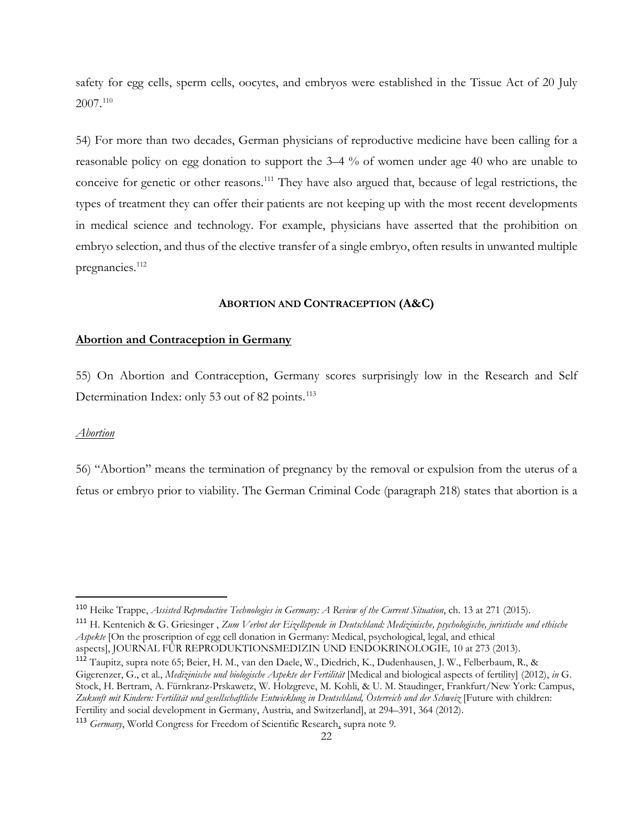safety for egg cells, sperm cells, oocytes, and embryos were established in the Tissue Act of 20 July 2007.[110](#page-21-3)

54) For more than two decades, German physicians of reproductive medicine have been calling for a reasonable policy on egg donation to support the 3–4 % of women under age 40 who are unable to conceive for genetic or other reasons.<sup>[111](#page-21-4)</sup> They have also argued that, because of legal restrictions, the types of treatment they can offer their patients are not keeping up with the most recent developments in medical science and technology. For example, physicians have asserted that the prohibition on embryo selection, and thus of the elective transfer of a single embryo, often results in unwanted multiple pregnancies.<sup>[112](#page-21-5)</sup>

#### **ABORTION AND CONTRACEPTION (A&C)**

#### <span id="page-21-1"></span><span id="page-21-0"></span>**Abortion and Contraception in Germany**

55) On Abortion and Contraception, Germany scores surprisingly low in the Research and Self Determination Index: only 53 out of 82 points.<sup>[113](#page-21-6)</sup>

#### <span id="page-21-2"></span>*Abortion*

56) "Abortion" means the termination of pregnancy by the removal or expulsion from the uterus of a fetus or embryo prior to viability. The German Criminal Code (paragraph 218) states that abortion is a

<span id="page-21-3"></span> <sup>110</sup> Heike Trappe, *Assisted Reproductive Technologies in Germany: A Review of the Current Situation*, ch. 13 at 271 (2015).

<span id="page-21-4"></span><sup>111</sup> H. Kentenich & G. Griesinger , *Zum Verbot der Eizellspende in Deutschland: Medizinische, psychologische, juristische und ethische Aspekte* [On the proscription of egg cell donation in Germany: Medical, psychological, legal, and ethical aspects], JOURNAL FÜR REPRODUKTIONSMEDIZIN UND ENDOKRINOLOGIE*,* 10 at 273 (2013).

<span id="page-21-5"></span><sup>112</sup> Taupitz, supra note 65; Beier, H. M., van den Daele, W., Diedrich, K., Dudenhausen, J. W., Felberbaum, R., & Gigerenzer, G., et al., *Medizinische und biologische Aspekte der Fertilität* [Medical and biological aspects of fertility] (2012), *in* G. Stock, H. Bertram, A. Fürnkranz-Prskawetz, W. Holzgreve, M. Kohli, & U. M. Staudinger, Frankfurt/New York: Campus, *Zukunft mit Kindern: Fertilität und gesellschaftliche Entwicklung in Deutschland, Österreich und der Schweiz* [Future with children: Fertility and social development in Germany, Austria, and Switzerland], at 294–391, 364 (2012).

<span id="page-21-6"></span><sup>113</sup> *Germany*, World Congress for Freedom of Scientific Research, supra note 9.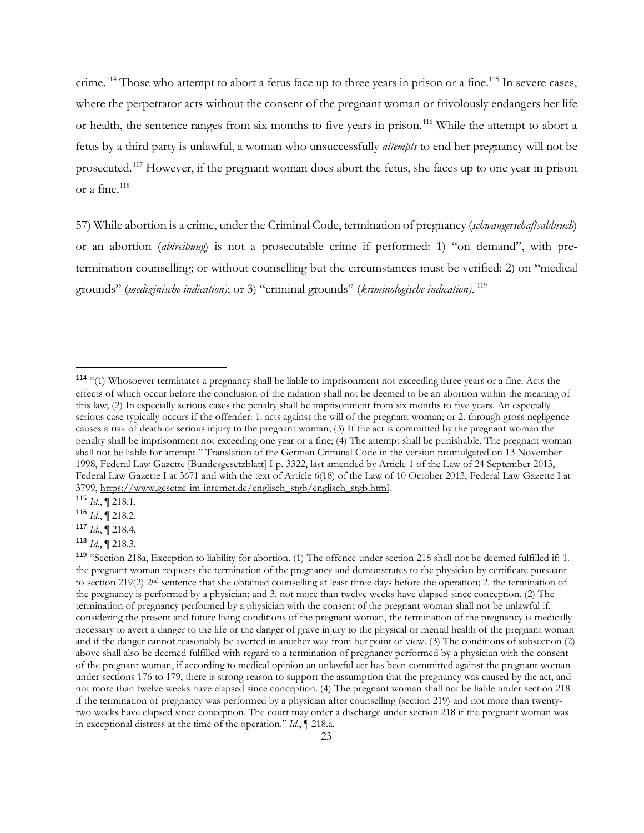crime.<sup>[114](#page-22-0)</sup> Those who attempt to abort a fetus face up to three years in prison or a fine.<sup>[115](#page-22-1)</sup> In severe cases, where the perpetrator acts without the consent of the pregnant woman or frivolously endangers her life or health, the sentence ranges from six months to five years in prison.<sup>[116](#page-22-2)</sup> While the attempt to abort a fetus by a third party is unlawful, a woman who unsuccessfully *attempts* to end her pregnancy will not be prosecuted.[117](#page-22-3) However, if the pregnant woman does abort the fetus, she faces up to one year in prison or a fine.<sup>[118](#page-22-4)</sup>

57) While abortion is a crime, under the Criminal Code, termination of pregnancy (*schwangerschaftsabbruch*) or an abortion (*abtreibung*) is not a prosecutable crime if performed: 1) "on demand", with pretermination counselling; or without counselling but the circumstances must be verified: 2) on "medical grounds" (*medizinische indication)*; or 3) "criminal grounds" (*kriminologische indication)*. [119](#page-22-5)

<span id="page-22-0"></span> <sup>114</sup> "(1) Whosoever terminates a pregnancy shall be liable to imprisonment not exceeding three years or a fine. Acts the effects of which occur before the conclusion of the nidation shall not be deemed to be an abortion within the meaning of this law; (2) In especially serious cases the penalty shall be imprisonment from six months to five years. An especially serious case typically occurs if the offender: 1. acts against the will of the pregnant woman; or 2. through gross negligence causes a risk of death or serious injury to the pregnant woman; (3) If the act is committed by the pregnant woman the penalty shall be imprisonment not exceeding one year or a fine; (4) The attempt shall be punishable. The pregnant woman shall not be liable for attempt." Translation of the German Criminal Code in the version promulgated on 13 November 1998, Federal Law Gazette [Bundesgesetzblatt] I p. 3322, last amended by Article 1 of the Law of 24 September 2013, Federal Law Gazette I at 3671 and with the text of Article 6(18) of the Law of 10 October 2013, Federal Law Gazette I at 3799, [https://www.gesetze-im-internet.de/englisch\\_stgb/englisch\\_stgb.html.](https://www.gesetze-im-internet.de/englisch_stgb/englisch_stgb.html)

<span id="page-22-1"></span><sup>115</sup> *Id*., ¶ 218.1.

<span id="page-22-2"></span><sup>116</sup> *Id*., ¶ 218.2.

<span id="page-22-3"></span><sup>117</sup> *Id*., ¶ 218.4.

<span id="page-22-4"></span><sup>118</sup> *Id*., ¶ 218.3.

<span id="page-22-5"></span><sup>119</sup> "Section 218a, Exception to liability for abortion. (1) The offence under section 218 shall not be deemed fulfilled if: 1. the pregnant woman requests the termination of the pregnancy and demonstrates to the physician by certificate pursuant to section 219(2) 2<sup>nd</sup> sentence that she obtained counselling at least three days before the operation; 2. the termination of the pregnancy is performed by a physician; and 3. not more than twelve weeks have elapsed since conception. (2) The termination of pregnancy performed by a physician with the consent of the pregnant woman shall not be unlawful if, considering the present and future living conditions of the pregnant woman, the termination of the pregnancy is medically necessary to avert a danger to the life or the danger of grave injury to the physical or mental health of the pregnant woman and if the danger cannot reasonably be averted in another way from her point of view. (3) The conditions of subsection (2) above shall also be deemed fulfilled with regard to a termination of pregnancy performed by a physician with the consent of the pregnant woman, if according to medical opinion an unlawful act has been committed against the pregnant woman under sections 176 to 179, there is strong reason to support the assumption that the pregnancy was caused by the act, and not more than twelve weeks have elapsed since conception. (4) The pregnant woman shall not be liable under section 218 if the termination of pregnancy was performed by a physician after counselling (section 219) and not more than twentytwo weeks have elapsed since conception. The court may order a discharge under section 218 if the pregnant woman was in exceptional distress at the time of the operation." *Id*., ¶ 218.a.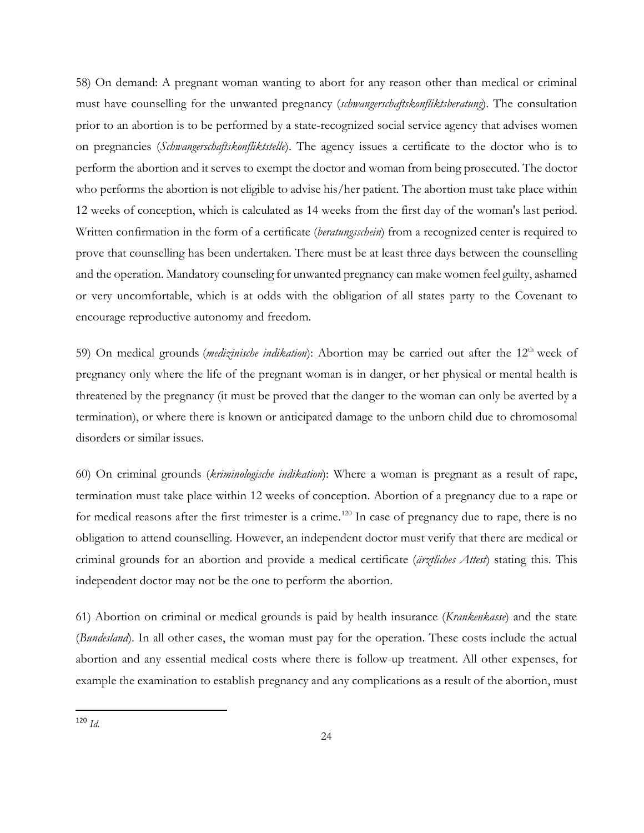58) On demand: A pregnant woman wanting to abort for any reason other than medical or criminal must have counselling for the unwanted pregnancy (*schwangerschaftskonfliktsberatung*). The consultation prior to an abortion is to be performed by a state-recognized social service agency that advises women on pregnancies (*Schwangerschaftskonfliktstelle*). The agency issues a certificate to the doctor who is to perform the abortion and it serves to exempt the doctor and woman from being prosecuted. The doctor who performs the abortion is not eligible to advise his/her patient. The abortion must take place within 12 weeks of conception, which is calculated as 14 weeks from the first day of the woman's last period. Written confirmation in the form of a certificate (*beratungsschein*) from a recognized center is required to prove that counselling has been undertaken. There must be at least three days between the counselling and the operation. Mandatory counseling for unwanted pregnancy can make women feel guilty, ashamed or very uncomfortable, which is at odds with the obligation of all states party to the Covenant to encourage reproductive autonomy and freedom.

59) On medical grounds (*medizinische indikation*): Abortion may be carried out after the 12<sup>th</sup> week of pregnancy only where the life of the pregnant woman is in danger, or her physical or mental health is threatened by the pregnancy (it must be proved that the danger to the woman can only be averted by a termination), or where there is known or anticipated damage to the unborn child due to chromosomal disorders or similar issues.

60) On criminal grounds (*kriminologische indikation*): Where a woman is pregnant as a result of rape, termination must take place within 12 weeks of conception. Abortion of a pregnancy due to a rape or for medical reasons after the first trimester is a crime.<sup>[120](#page-23-0)</sup> In case of pregnancy due to rape, there is no obligation to attend counselling. However, an independent doctor must verify that there are medical or criminal grounds for an abortion and provide a medical certificate (*ärztliches Attest*) stating this. This independent doctor may not be the one to perform the abortion.

61) Abortion on criminal or medical grounds is paid by health insurance (*Krankenkasse*) and the state (*Bundesland*). In all other cases, the woman must pay for the operation. These costs include the actual abortion and any essential medical costs where there is follow-up treatment. All other expenses, for example the examination to establish pregnancy and any complications as a result of the abortion, must

<span id="page-23-0"></span> <sup>120</sup> *Id*.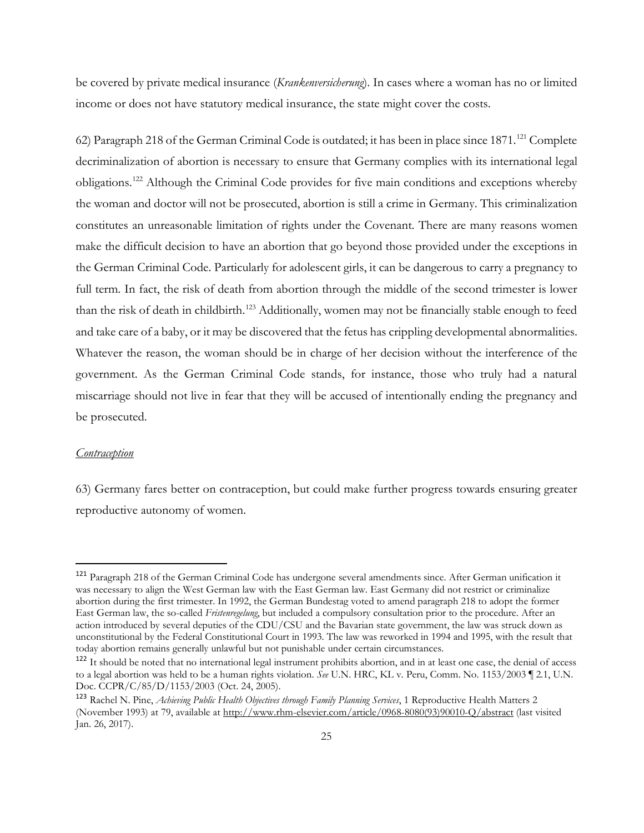be covered by private medical insurance (*Krankenversicherung*). In cases where a woman has no or limited income or does not have statutory medical insurance, the state might cover the costs.

62) Paragraph 218 of the German Criminal Code is outdated; it has been in place since 1871.<sup>[121](#page-24-1)</sup> Complete decriminalization of abortion is necessary to ensure that Germany complies with its international legal obligations.[122](#page-24-2) Although the Criminal Code provides for five main conditions and exceptions whereby the woman and doctor will not be prosecuted, abortion is still a crime in Germany. This criminalization constitutes an unreasonable limitation of rights under the Covenant. There are many reasons women make the difficult decision to have an abortion that go beyond those provided under the exceptions in the German Criminal Code. Particularly for adolescent girls, it can be dangerous to carry a pregnancy to full term. In fact, the risk of death from abortion through the middle of the second trimester is lower than the risk of death in childbirth.<sup>[123](#page-24-3)</sup> Additionally, women may not be financially stable enough to feed and take care of a baby, or it may be discovered that the fetus has crippling developmental abnormalities. Whatever the reason, the woman should be in charge of her decision without the interference of the government. As the German Criminal Code stands, for instance, those who truly had a natural miscarriage should not live in fear that they will be accused of intentionally ending the pregnancy and be prosecuted.

#### <span id="page-24-0"></span>*Contraception*

63) Germany fares better on contraception, but could make further progress towards ensuring greater reproductive autonomy of women.

<span id="page-24-1"></span> <sup>121</sup> Paragraph 218 of the German Criminal Code has undergone several amendments since. After German unification it was necessary to align the West German law with the East German law. East Germany did not restrict or criminalize abortion during the first trimester. In 1992, the German Bundestag voted to amend paragraph 218 to adopt the former East German law, the so-called *Fristenregelung*, but included a compulsory consultation prior to the procedure. After an action introduced by several deputies of the CDU/CSU and the Bavarian state government, the law was struck down as unconstitutional by the Federal Constitutional Court in 1993. The law was reworked in 1994 and 1995, with the result that today abortion remains generally unlawful but not punishable under certain circumstances.

<span id="page-24-2"></span><sup>122</sup> It should be noted that no international legal instrument prohibits abortion, and in at least one case, the denial of access to a legal abortion was held to be a human rights violation. *See* U.N. HRC, KL v. Peru, Comm. No. 1153/2003 ¶ 2.1, U.N. Doc. CCPR/C/85/D/1153/2003 (Oct. 24, 2005).

<span id="page-24-3"></span><sup>123</sup> Rachel N. Pine, *Achieving Public Health Objectives through Family Planning Services*, 1 Reproductive Health Matters 2 (November 1993) at 79, available at [http://www.rhm-elsevier.com/article/0968-8080\(93\)90010-Q/abstract](http://www.rhm-elsevier.com/article/0968-8080(93)90010-Q/abstract) (last visited Jan. 26, 2017).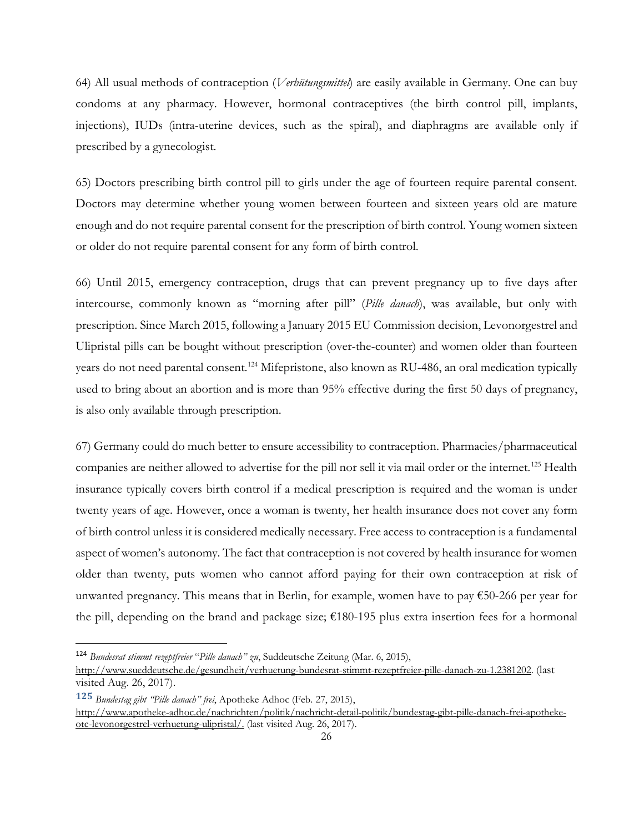64) All usual methods of contraception (*Verhütungsmittel*) are easily available in Germany. One can buy condoms at any pharmacy. However, hormonal contraceptives (the birth control pill, implants, injections), IUDs (intra-uterine devices, such as the spiral), and diaphragms are available only if prescribed by a gynecologist.

65) Doctors prescribing birth control pill to girls under the age of fourteen require parental consent. Doctors may determine whether young women between fourteen and sixteen years old are mature enough and do not require parental consent for the prescription of birth control. Young women sixteen or older do not require parental consent for any form of birth control.

66) Until 2015, emergency contraception, drugs that can prevent pregnancy up to five days after intercourse, commonly known as "morning after pill" (*Pille danach*), was available, but only with prescription. Since March 2015, following a January 2015 EU Commission decision, Levonorgestrel and Ulipristal pills can be bought without prescription (over-the-counter) and women older than fourteen years do not need parental consent.<sup>[124](#page-25-0)</sup> Mifepristone, also known as RU-486, an oral medication typically used to bring about an abortion and is more than 95% effective during the first 50 days of pregnancy, is also only available through prescription.

67) Germany could do much better to ensure accessibility to contraception. Pharmacies/pharmaceutical companies are neither allowed to advertise for the pill nor sell it via mail order or the internet.<sup>[125](#page-25-1)</sup> Health insurance typically covers birth control if a medical prescription is required and the woman is under twenty years of age. However, once a woman is twenty, her health insurance does not cover any form of birth control unless it is considered medically necessary. Free access to contraception is a fundamental aspect of women's autonomy. The fact that contraception is not covered by health insurance for women older than twenty, puts women who cannot afford paying for their own contraception at risk of unwanted pregnancy. This means that in Berlin, for example, women have to pay  $\epsilon$ 50-266 per year for the pill, depending on the brand and package size; €180-195 plus extra insertion fees for a hormonal

<span id="page-25-0"></span> <sup>124</sup> *Bundesrat stimmt rezeptfreier* "*Pille danach" zu*, Suddeutsche Zeitung (Mar. 6, 2015),

[http://www.sueddeutsche.de/gesundheit/verhuetung-bundesrat-stimmt-rezeptfreier-pille-danach-zu-1.2381202.](http://www.sueddeutsche.de/gesundheit/verhuetung-bundesrat-stimmt-rezeptfreier-pille-danach-zu-1.2381202) (last visited Aug. 26, 2017).

**<sup>125</sup>** *Bundestag gibt "Pille danach" frei*, Apotheke Adhoc (Feb. 27, 2015),

<span id="page-25-1"></span>[http://www.apotheke-adhoc.de/nachrichten/politik/nachricht-detail-politik/bundestag-gibt-pille-danach-frei-apotheke](http://www.apotheke-adhoc.de/nachrichten/politik/nachricht-detail-politik/bundestag-gibt-pille-danach-frei-apotheke-otc-levonorgestrel-verhuetung-ulipristal/)[otc-levonorgestrel-verhuetung-ulipristal/.](http://www.apotheke-adhoc.de/nachrichten/politik/nachricht-detail-politik/bundestag-gibt-pille-danach-frei-apotheke-otc-levonorgestrel-verhuetung-ulipristal/) (last visited Aug. 26, 2017).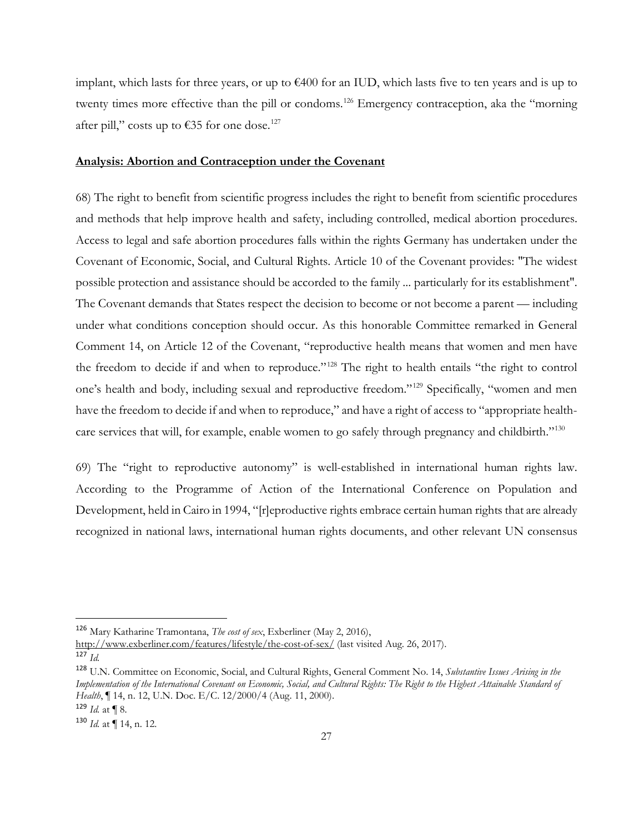implant, which lasts for three years, or up to €400 for an IUD, which lasts five to ten years and is up to twenty times more effective than the pill or condoms.<sup>[126](#page-26-1)</sup> Emergency contraception, aka the "morning after pill," costs up to  $\epsilon$ 35 for one dose.<sup>127</sup>

#### <span id="page-26-0"></span>**Analysis: Abortion and Contraception under the Covenant**

68) The right to benefit from scientific progress includes the right to benefit from scientific procedures and methods that help improve health and safety, including controlled, medical abortion procedures. Access to legal and safe abortion procedures falls within the rights Germany has undertaken under the Covenant of Economic, Social, and Cultural Rights. Article 10 of the Covenant provides: "The widest possible protection and assistance should be accorded to the family ... particularly for its establishment". The Covenant demands that States respect the decision to become or not become a parent — including under what conditions conception should occur. As this honorable Committee remarked in General Comment 14, on Article 12 of the Covenant, "reproductive health means that women and men have the freedom to decide if and when to reproduce."<sup>[128](#page-26-3)</sup> The right to health entails "the right to control one's health and body, including sexual and reproductive freedom."[129](#page-26-4) Specifically, "women and men have the freedom to decide if and when to reproduce," and have a right of access to "appropriate health-care services that will, for example, enable women to go safely through pregnancy and childbirth."<sup>[130](#page-26-5)</sup>

69) The "right to reproductive autonomy" is well-established in international human rights law. According to the Programme of Action of the International Conference on Population and Development, held in Cairo in 1994, "[r]eproductive rights embrace certain human rights that are already recognized in national laws, international human rights documents, and other relevant UN consensus

<span id="page-26-1"></span> <sup>126</sup> Mary Katharine Tramontana, *The cost of sex*, Exberliner (May 2, 2016),

<http://www.exberliner.com/features/lifestyle/the-cost-of-sex/> (last visited Aug. 26, 2017).

<span id="page-26-2"></span><sup>127</sup> *Id.*

<span id="page-26-3"></span><sup>128</sup> U.N. Committee on Economic, Social, and Cultural Rights, General Comment No. 14, *Substantive Issues Arising in the Implementation of the International Covenant on Economic, Social, and Cultural Rights: The Right to the Highest Attainable Standard of Health*, ¶ 14, n. 12, U.N. Doc. E/C. 12/2000/4 (Aug. 11, 2000).

<span id="page-26-4"></span> $129$  *Id.* at **[**8.]

<span id="page-26-5"></span><sup>130</sup> *Id.* at ¶ 14, n. 12.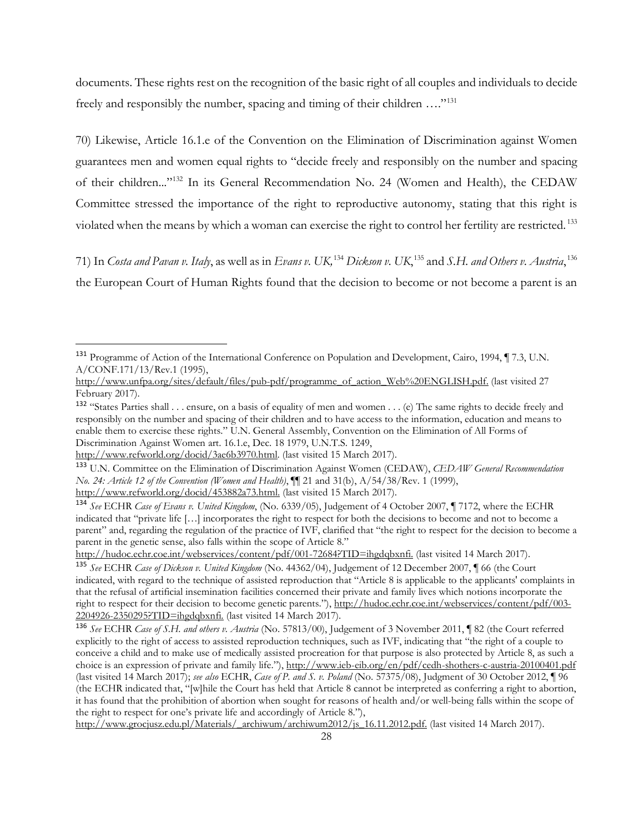documents. These rights rest on the recognition of the basic right of all couples and individuals to decide freely and responsibly the number, spacing and timing of their children ...."<sup>[131](#page-27-0)</sup>

70) Likewise, Article 16.1.e of the Convention on the Elimination of Discrimination against Women guarantees men and women equal rights to "decide freely and responsibly on the number and spacing of their children..."[132](#page-27-1) In its General Recommendation No. 24 (Women and Health), the CEDAW Committee stressed the importance of the right to reproductive autonomy, stating that this right is violated when the means by which a woman can exercise the right to control her fertility are restricted. [133](#page-27-2)

71) In *Costa and Pavan v. Italy*, as well as in *Evans v. UK,*[134](#page-27-3) *Dickson v. UK*, [135](#page-27-4) and *S.H. and Others v. Austria*, [136](#page-27-5) the European Court of Human Rights found that the decision to become or not become a parent is an

<span id="page-27-0"></span> <sup>131</sup> Programme of Action of the International Conference on Population and Development, Cairo, 1994, ¶ 7.3, U.N. A/CONF.171/13/Rev.1 (1995),

[http://www.unfpa.org/sites/default/files/pub-pdf/programme\\_of\\_action\\_Web%20ENGLISH.pdf.](http://www.unfpa.org/sites/default/files/pub-pdf/programme_of_action_Web%20ENGLISH.pdf) (last visited 27 February 2017).

<span id="page-27-1"></span><sup>132</sup> "States Parties shall . . . ensure, on a basis of equality of men and women . . . (e) The same rights to decide freely and responsibly on the number and spacing of their children and to have access to the information, education and means to enable them to exercise these rights." U.N. General Assembly, Convention on the Elimination of All Forms of Discrimination Against Women art. 16.1.e, Dec. 18 1979, U.N.T.S. 1249,

[http://www.refworld.org/docid/3ae6b3970.html.](http://www.refworld.org/docid/3ae6b3970.html) (last visited 15 March 2017).

<span id="page-27-2"></span><sup>133</sup> U.N. Committee on the Elimination of Discrimination Against Women (CEDAW), *CEDAW General Recommendation No. 24: Article 12 of the Convention (Women and Health)*, ¶¶ 21 and 31(b), A/54/38/Rev. 1 (1999),

[http://www.refworld.org/docid/453882a73.html.](http://www.refworld.org/docid/453882a73.html) (last visited 15 March 2017).

<span id="page-27-3"></span><sup>134</sup> *See* ECHR *Case of Evans v. United Kingdom*, (No. 6339/05), Judgement of 4 October 2007, ¶ 7172, where the ECHR indicated that "private life […] incorporates the right to respect for both the decisions to become and not to become a parent" and, regarding the regulation of the practice of IVF, clarified that "the right to respect for the decision to become a parent in the genetic sense, also falls within the scope of Article 8."

[http://hudoc.echr.coe.int/webservices/content/pdf/001-72684?TID=ihgdqbxnfi.](http://hudoc.echr.coe.int/webservices/content/pdf/001-72684?TID=ihgdqbxnfi) (last visited 14 March 2017).

<span id="page-27-4"></span><sup>135</sup> *See* ECHR *Case of Dickson v. United Kingdom* (No. 44362/04), Judgement of 12 December 2007, ¶ 66 (the Court indicated, with regard to the technique of assisted reproduction that "Article 8 is applicable to the applicants' complaints in that the refusal of artificial insemination facilities concerned their private and family lives which notions incorporate the right to respect for their decision to become genetic parents.")[, http://hudoc.echr.coe.int/webservices/content/pdf/003-](http://hudoc.echr.coe.int/webservices/content/pdf/003-2204926-2350295?TID=ihgdqbxnfi) [2204926-2350295?TID=ihgdqbxnfi.](http://hudoc.echr.coe.int/webservices/content/pdf/003-2204926-2350295?TID=ihgdqbxnfi) (last visited 14 March 2017).

<span id="page-27-5"></span><sup>136</sup> *See* ECHR *Case of S.H. and others v. Austria* (No. 57813/00), Judgement of 3 November 2011, ¶ 82 (the Court referred explicitly to the right of access to assisted reproduction techniques, such as IVF, indicating that "the right of a couple to conceive a child and to make use of medically assisted procreation for that purpose is also protected by Article 8, as such a choice is an expression of private and family life."),<http://www.ieb-eib.org/en/pdf/cedh-shothers-c-austria-20100401.pdf> (last visited 14 March 2017); *see also* ECHR, *Case of P. and S. v. Poland* (No. 57375/08), Judgment of 30 October 2012, ¶ 96 (the ECHR indicated that, "[w]hile the Court has held that Article 8 cannot be interpreted as conferring a right to abortion, it has found that the prohibition of abortion when sought for reasons of health and/or well-being falls within the scope of the right to respect for one's private life and accordingly of Article 8."),

[http://www.grocjusz.edu.pl/Materials/\\_archiwum/archiwum2012/js\\_16.11.2012.pdf.](http://www.grocjusz.edu.pl/Materials/_archiwum/archiwum2012/js_16.11.2012.pdf) (last visited 14 March 2017).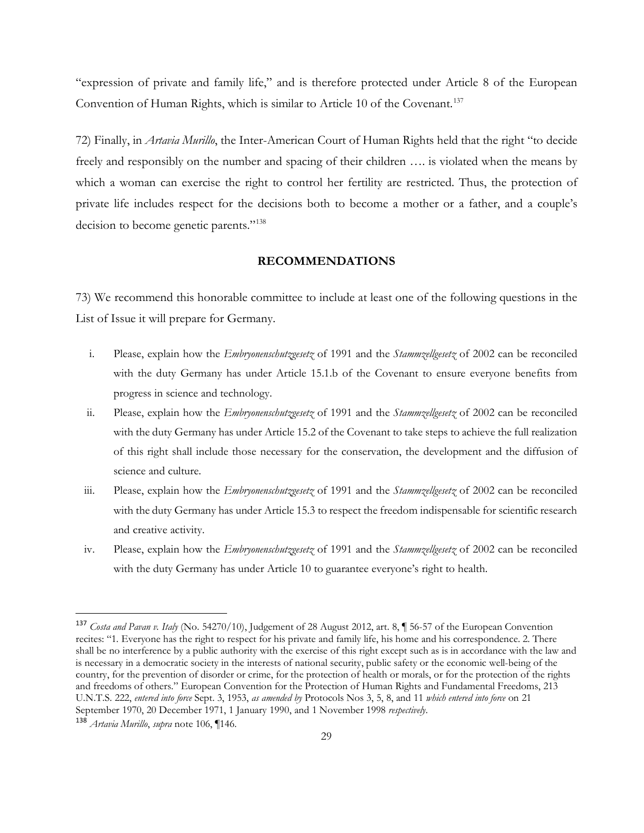"expression of private and family life," and is therefore protected under Article 8 of the European Convention of Human Rights, which is similar to Article 10 of the Covenant.<sup>[137](#page-28-1)</sup>

72) Finally, in *Artavia Murillo*, the Inter-American Court of Human Rights held that the right "to decide freely and responsibly on the number and spacing of their children …. is violated when the means by which a woman can exercise the right to control her fertility are restricted. Thus, the protection of private life includes respect for the decisions both to become a mother or a father, and a couple's decision to become genetic parents."<sup>138</sup>

## **RECOMMENDATIONS**

<span id="page-28-0"></span>73) We recommend this honorable committee to include at least one of the following questions in the List of Issue it will prepare for Germany.

- i. Please, explain how the *Embryonenschutzgesetz* of 1991 and the *Stammzellgesetz* of 2002 can be reconciled with the duty Germany has under Article 15.1.b of the Covenant to ensure everyone benefits from progress in science and technology.
- ii. Please, explain how the *Embryonenschutzgesetz* of 1991 and the *Stammzellgesetz* of 2002 can be reconciled with the duty Germany has under Article 15.2 of the Covenant to take steps to achieve the full realization of this right shall include those necessary for the conservation, the development and the diffusion of science and culture.
- iii. Please, explain how the *Embryonenschutzgesetz* of 1991 and the *Stammzellgesetz* of 2002 can be reconciled with the duty Germany has under Article 15.3 to respect the freedom indispensable for scientific research and creative activity.
- iv. Please, explain how the *Embryonenschutzgesetz* of 1991 and the *Stammzellgesetz* of 2002 can be reconciled with the duty Germany has under Article 10 to guarantee everyone's right to health.

<span id="page-28-1"></span> <sup>137</sup> *Costa and Pavan v. Italy* (No. 54270/10), Judgement of 28 August 2012, art. 8, ¶ 56-57 of the European Convention recites: "1. Everyone has the right to respect for his private and family life, his home and his correspondence. 2. There shall be no interference by a public authority with the exercise of this right except such as is in accordance with the law and is necessary in a democratic society in the interests of national security, public safety or the economic well-being of the country, for the prevention of disorder or crime, for the protection of health or morals, or for the protection of the rights and freedoms of others." European Convention for the Protection of Human Rights and Fundamental Freedoms, 213 U.N.T.S. 222, *entered into force* Sept. 3, 1953, *as amended by* Protocols Nos 3, 5, 8, and 11 *which entered into force* on 21 September 1970, 20 December 1971, 1 January 1990, and 1 November 1998 *respectively*.

<span id="page-28-2"></span><sup>138</sup> *Artavia Murillo*, *supra* note 106, ¶146.